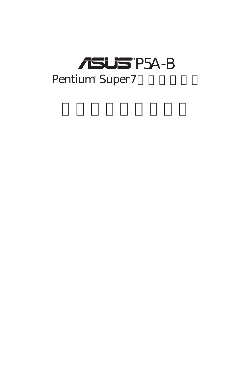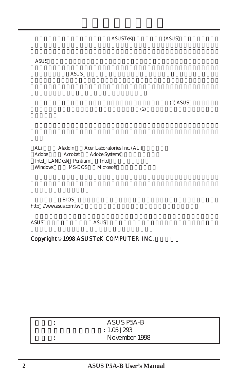$A SUSTeK$ (ASUSTeK  $ASUS$  $ASUS$  $(1)$  ASUS  $(2)$ 

ALi Aladdin Acer Laboratories Inc. (ALi) Adobe Acrobat Adobe Systems Intel LANDesk Pentium Intel Windows MS-DOS Microsoft

BIOS **Example 2** http://www.asus.com.tw

ASUS ASUS ASUS

#### Copyright © 1998 ASUSTeK COMPUTER INC.

| ASUS P5A-B    |  |
|---------------|--|
| $: 1.05$ J293 |  |
| November 1998 |  |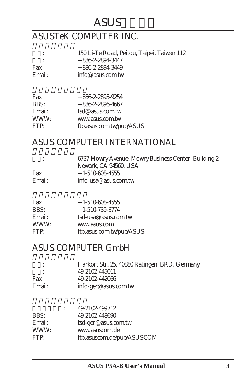### ASUSTeK COMPUTER INC.

| ÷      | 150Li-Te Road, Peitou, Taipei, Taiwan 112 |
|--------|-------------------------------------------|
|        | +8862-28943447                            |
| Fax    | +8862-28943449                            |
| Email: | info@ asus.com.tw                         |
|        |                                           |

| Fax    | $+886228959254$          |
|--------|--------------------------|
| BBS:   | $+886228964667$          |
| Email: | tsd@ asus.com.tw         |
| WWW:   | www.asus.com.tw          |
| FTP:   | ftp.asus.com.tw/pub/ASUS |

### ASUS COMPUTER INTERNATIONAL

| ٠      | 6737 Mowry Avenue, Mowry Business Center, Building 2 |
|--------|------------------------------------------------------|
|        | Newark, CA 94560, USA                                |
| Fax    | $+1.5106084555$                                      |
| Email: | info-usa@ asus.com.tw                                |

| Fax    | $+1.5106084555$          |
|--------|--------------------------|
| BBS:   | $+1-5107393774$          |
| Email: | tsd-usa@ asus.com.tw     |
| WWW:   | www.asus.com             |
| FTP:   | ftp.asus.com.tw/pub/ASUS |
|        |                          |

### ASUS COMPUTER GmbH

|        | Harkort Str. 25, 40880 Ratingen, BRD, Germany |
|--------|-----------------------------------------------|
|        | 49 2102 445011                                |
| Fax    | 49-2102-442066                                |
| Email: | info-ger@ asus.com.tw                         |

|        | 49-2102-499712             |
|--------|----------------------------|
| BBS:   | 49.2102-448690             |
| Email: | tsd-ger@asus.com.tw        |
| WWW:   | www.asuscom.de             |
| FTP:   | ftp.asuscom.de/pub/ASUSCOM |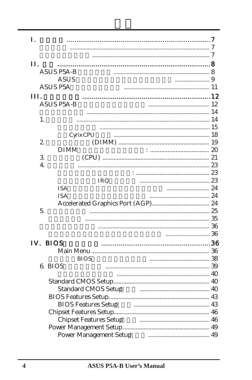| I.              |                               |   |    |
|-----------------|-------------------------------|---|----|
|                 |                               |   |    |
|                 |                               | 7 |    |
| II.             |                               |   |    |
| ASUS P5A-B      |                               |   |    |
| <b>ASUS</b>     |                               |   |    |
| <b>ASUS P5A</b> |                               |   |    |
| Ш.              |                               |   | 12 |
| ASUS P5A-B      |                               |   |    |
|                 |                               |   |    |
| 1.              |                               |   |    |
|                 |                               |   |    |
|                 | <b>Cyrix CPU</b>              |   |    |
| 2               |                               |   | 19 |
| <b>DIMM</b>     |                               |   |    |
| 3               |                               |   |    |
| 4.              |                               |   |    |
|                 |                               |   | 23 |
|                 | IRQ                           |   |    |
| <b>ISA</b>      |                               |   |    |
| <b>ISA</b>      |                               |   |    |
|                 |                               |   |    |
| 5.              |                               |   |    |
|                 |                               |   |    |
|                 |                               |   |    |
|                 |                               |   |    |
| IV. BIOS        |                               |   | 36 |
|                 |                               |   | 36 |
|                 | <b>BIOS</b>                   |   |    |
| 6 BIOS          |                               |   |    |
|                 |                               |   |    |
|                 |                               |   |    |
|                 | <b>Standard CMOS Setup</b>    |   |    |
|                 |                               |   |    |
|                 | <b>BIOS Features Setup</b>    |   |    |
|                 |                               |   |    |
|                 | <b>Chipset Features Setup</b> |   |    |
|                 |                               |   |    |
|                 | <b>Power Management Setup</b> |   |    |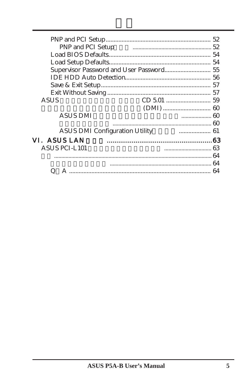|                           |                                                       | 52 |
|---------------------------|-------------------------------------------------------|----|
|                           | PNP and PCI Setup <b>CONSERVING</b> PNP and PCI Setup | 52 |
|                           |                                                       | 54 |
|                           |                                                       |    |
|                           |                                                       |    |
|                           |                                                       |    |
|                           |                                                       |    |
|                           |                                                       |    |
| ASUS                      |                                                       |    |
|                           |                                                       |    |
| ASUS DMI                  |                                                       |    |
|                           |                                                       |    |
|                           | <b>ASUS DMI Configuration Utility</b>                 |    |
| VI. ASUS LAN              |                                                       |    |
| ASUS PCI-L <sub>101</sub> |                                                       |    |
|                           |                                                       |    |
|                           |                                                       |    |
|                           |                                                       |    |
|                           |                                                       |    |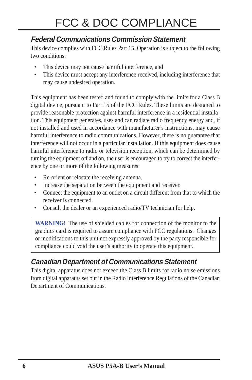### **Federal Communications Commission Statement**

This device complies with FCC Rules Part 15. Operation is subject to the following two conditions:

- This device may not cause harmful interference, and
- This device must accept any interference received, including interference that may cause undesired operation.

This equipment has been tested and found to comply with the limits for a Class B digital device, pursuant to Part 15 of the FCC Rules. These limits are designed to provide reasonable protection against harmful interference in a residential installation. This equipment generates, uses and can radiate radio frequency energy and, if not installed and used in accordance with manufacturer's instructions, may cause harmful interference to radio communications. However, there is no guarantee that interference will not occur in a particular installation. If this equipment does cause harmful interference to radio or television reception, which can be determined by turning the equipment off and on, the user is encouraged to try to correct the interference by one or more of the following measures:

- Re-orient or relocate the receiving antenna.
- Increase the separation between the equipment and receiver.
- Connect the equipment to an outlet on a circuit different from that to which the receiver is connected.
- Consult the dealer or an experienced radio/TV technician for help.

**WARNING!** The use of shielded cables for connection of the monitor to the graphics card is required to assure compliance with FCC regulations. Changes or modifications to this unit not expressly approved by the party responsible for compliance could void the user's authority to operate this equipment.

### **Canadian Department of Communications Statement**

This digital apparatus does not exceed the Class B limits for radio noise emissions from digital apparatus set out in the Radio Interference Regulations of the Canadian Department of Communications.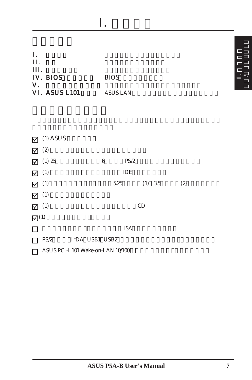| I.<br>II.<br>III. |               |                 |  |
|-------------------|---------------|-----------------|--|
| IV. BIOS<br>V.    |               | <b>BIOS</b>     |  |
|                   | VI. ASUS L101 | <b>ASUS LAN</b> |  |
|                   |               |                 |  |

| ☑                  |        | $(1)$ ASUS                       |                |   |            |    |          |     |  |  |
|--------------------|--------|----------------------------------|----------------|---|------------|----|----------|-----|--|--|
| $\bar{v}$          | (2)    |                                  |                |   |            |    |          |     |  |  |
| ☑                  | (1) 25 |                                  |                | 6 | PS/2       |    |          |     |  |  |
| ☑                  | (1)    |                                  |                |   | <b>IDE</b> |    |          |     |  |  |
| ☑                  | (1)    |                                  |                |   | 5.25       |    | $(1)$ 35 | (2) |  |  |
| ☑                  | (1)    |                                  |                |   |            |    |          |     |  |  |
| $\sqrt{(1)}$       |        |                                  |                |   |            | CD |          |     |  |  |
| $\mathbf{Z}^{(1)}$ |        |                                  |                |   |            |    |          |     |  |  |
|                    |        |                                  |                |   | <b>ISA</b> |    |          |     |  |  |
|                    | PS/2   |                                  | IrDA USB1 USB2 |   |            |    |          |     |  |  |
|                    |        | ASUS PCI-L101 Wake-on-LAN 10/100 |                |   |            |    |          |     |  |  |

 $\mathbf{I}$ .

**ASUS P5A-B User's Manual 7**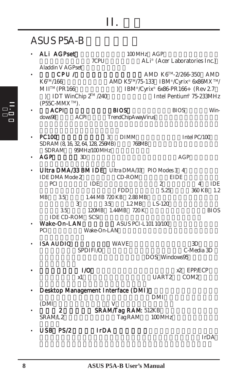# $II.$

### ASUS P5A-B

- ALi AGPset  $\frac{100 \text{MHz} \text{AGP}}{\text{ALi}^{\circ} (\text{A}\alpha)}$ ALi® (Acer Laboratories Inc.) Aladdin V AG Pset • 多種のCPU / スピード選択をサポート スピード選択をサポート スピード選択をサポート:AMD K6TM-2/266-350、AMD  $KG^{TM}/166$  AMD K5<sup>TM</sup>/75-133 IBM®/Cyrix<sup>®</sup> 6x86MX<sup>TM</sup>/
- $M II<sup>TM</sup> (PR166)$   $IBM<sup>®</sup> C**v r r r r r r r r r r r r r r r r r r r r r r r r r r r r r r r** <$ ) IDT WinChip  $2^{TM}$  /240 Intel Pentium® 75-233MHz (P55C-MMXTM).
- ACPI BIOS BIOS Windows98 ACPI TrendChipAwayVirus
- $PC100 \t 3$   $DIMM$  Intel  $PC/100$ SDRAM (8, 16, 32, 64, 128, 256MB) 768MB SDRAM 95MHz/100 MHz
- AGP 3D AGP
- Ultra DMA/33 BM IDE Ultra DMA/33 PIO Modes 3 4 IDE DMA Mode 2 CD-ROM EIDE PCI IDE  $2 \t 4 \t 1DE$ FDD 5.25 360 KB 1.2 MB 3.5 1.44 MB 720 KB 2.88 MB 3 3.5 1.2 MB LS-120 3.5 120MB 1.44MB 720 K IDE CD-ROM SCSI
- Wake-On-LAN ASUS PCI-L101 10/100 PCI Wake-On-LAN
- ISA AUDIO WAVE 3D SPDIFI/O C-Media 3D DOS Windows95

| $\bullet$ | IЮ<br>vl                                                                                                                                                           | $x2$ EPP $ECP$<br>UART2 COM2 |  |
|-----------|--------------------------------------------------------------------------------------------------------------------------------------------------------------------|------------------------------|--|
|           | $\mathbf{r}$ , $\mathbf{r}$ , $\mathbf{r}$ , $\mathbf{r}$ , $\mathbf{r}$ , $\mathbf{r}$ , $\mathbf{r}$ , $\mathbf{r}$ , $\mathbf{r}$ , $\mathbf{r}$ , $\mathbf{r}$ |                              |  |

- **Desktop Management Interface (DMI)**
- $DMI$  $(V \t V)$ **2 SRAM/Tag RAM:** 512KB<br>SRAML2 **Tag RAM** 100 Tag RAM 100 MHz
- $\cdot$  USB PS/2 IrDA

 $IrDA$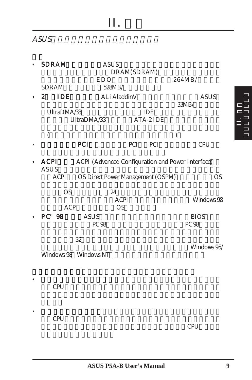# $II.$

ASUS

| $\bullet$ | <b>SDRAM</b>                   |                                   | <b>ASUS</b>  |            |                                                   |             |
|-----------|--------------------------------|-----------------------------------|--------------|------------|---------------------------------------------------|-------------|
|           |                                |                                   | DRAM(SDRAM)  |            |                                                   |             |
|           |                                | <b>EDO</b>                        |              |            | 264MB/                                            |             |
|           | <b>SDRAM</b>                   |                                   | 528MB/       |            |                                                   |             |
| $\bullet$ | <b>IDE</b><br>$\boldsymbol{2}$ |                                   | ALi AladdinV |            |                                                   | <b>ASUS</b> |
|           |                                |                                   |              |            | 33MB/                                             |             |
|           | UltraDMA/33                    |                                   |              | IDE        |                                                   |             |
|           |                                | UltraDMA/33                       |              | ATA-2IDE   |                                                   |             |
|           | $\overline{(}$                 |                                   |              |            | $\mathcal{E}$                                     |             |
| $\bullet$ |                                | PCI                               | PCI          | <b>PCI</b> | <b>CPU</b>                                        |             |
|           |                                |                                   |              |            |                                                   |             |
| $\bullet$ | <b>ACPI</b><br><b>ASUS</b>     |                                   |              |            | ACPI (Advanced Configuration and Power Interface) |             |
|           | <b>ACPI</b>                    | OS Direct Power Management (OSPM) |              |            |                                                   | <b>OS</b>   |
|           | <b>OS</b>                      |                                   | 24           |            |                                                   |             |
|           |                                |                                   | <b>ACPI</b>  |            |                                                   | Windows 98  |
|           | <b>ACP</b>                     |                                   | <b>OS</b>    |            |                                                   |             |
| $\bullet$ | PC' 98                         | <b>ASUS</b>                       |              |            | <b>BIOS</b>                                       |             |
|           |                                | <b>PC'98</b>                      |              |            | <b>PC'98</b>                                      |             |
|           |                                | 32                                |              |            |                                                   |             |
|           |                                |                                   |              |            | Windows 95                                        |             |
|           |                                | Windows 98 Windows NT             |              |            |                                                   |             |
|           |                                |                                   |              |            |                                                   |             |
|           |                                |                                   |              |            |                                                   |             |
|           | <b>CPU</b>                     |                                   |              |            |                                                   |             |
|           |                                |                                   |              |            |                                                   |             |
|           |                                |                                   |              |            |                                                   |             |
| $\bullet$ |                                |                                   |              |            |                                                   |             |
|           | <b>CPU</b>                     |                                   |              |            |                                                   |             |
|           |                                |                                   |              |            | <b>CPU</b>                                        |             |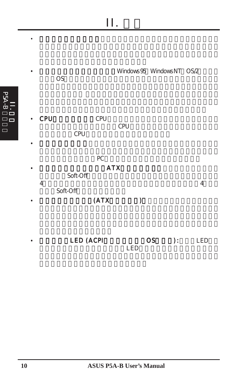$\bullet$ 







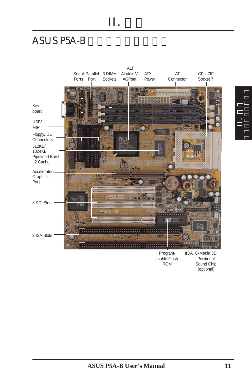# $II.$

### ASUS P5A-B



mable Flash ROM

Positional Sound Chip (optional)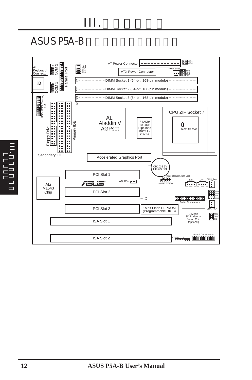ASUS P5A-B

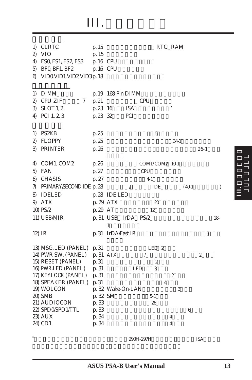| 1)     | <b>CLRTC</b>              | p. 15     |               |                      |            |                  |   | RTC RAM |       |                |   |               |
|--------|---------------------------|-----------|---------------|----------------------|------------|------------------|---|---------|-------|----------------|---|---------------|
| 2)     | VIO                       | p. 15     |               |                      |            |                  |   |         |       |                |   |               |
| 4)     | FSQ FS1, FS2, FS3         | p. 16 CPU |               |                      |            |                  |   |         |       |                |   |               |
| 5)     | BFQ BF1, BF2              | p. 16 CPU |               |                      |            |                  |   |         |       |                |   |               |
| 6      | VIDQVID1, VID2VID3p. 18   |           |               |                      |            |                  |   |         |       |                |   |               |
|        |                           |           |               |                      |            |                  |   |         |       |                |   |               |
| 1)     | DIMM                      |           |               | p. 19 $168$ Pin DIMM |            |                  |   |         |       |                |   |               |
| 2)     | CPU ZIF<br>7              | p. 21     |               |                      | CPU        |                  |   |         |       |                |   |               |
| 3)     | SLOT <sub>1</sub> , 2     | p. 23 16  |               | ISA                  |            |                  |   |         |       |                |   |               |
| 4)     | PCI 1, 2, 3               | p. 23 32  |               | <b>PCI</b>           |            |                  |   |         |       |                |   |               |
|        |                           |           |               |                      |            |                  |   |         |       |                |   |               |
| 1)     | <b>PS2KB</b>              | p. 25     |               |                      |            | 5                |   |         |       |                |   |               |
| 2)     | <b>FLOPPY</b>             | p. 25     |               |                      |            |                  |   | 341     |       |                |   |               |
| 3)     | <b>PRINTER</b>            | p. 26     |               |                      |            |                  |   |         |       | $26-1$         |   |               |
| 4)     | COM1, COM2                | p. 26     |               |                      |            | COM1/COM2 101    |   |         |       |                |   |               |
| 5)     | FAN                       | p. 27     |               |                      | <b>CPU</b> |                  |   |         |       |                |   |               |
| 6)     | CHASIS                    | p. 27     |               |                      | $4-1$      |                  |   |         |       |                |   |               |
| Ŋ      | PRIMARY SECOND. IDE p. 28 |           |               | 7                    |            |                  |   |         | (401) |                |   |               |
|        |                           |           |               |                      |            | <b>IDE</b>       |   |         |       |                |   | $\mathcal{L}$ |
| 8)     | <b>IDELED</b>             |           | p. 28 IDE LED |                      |            |                  |   |         |       |                |   |               |
| 9)     | ATX                       | p. 29 ATX |               |                      |            | 20               |   |         |       |                |   |               |
|        | 10 PS/2                   | p. 29 AT  |               |                      |            | 12               |   |         |       |                |   |               |
|        | 11) USBMIR                |           |               | p. 31 USB IrDA       | PS/2       |                  |   |         |       |                |   | 18            |
|        |                           |           | $\mathbf{1}$  |                      |            |                  |   |         |       |                |   |               |
| 12) IR |                           |           |               | p. 31 IrDA Fast IR   |            |                  |   |         |       |                | 5 |               |
|        | 13) MSG.LED (PANEL)       | p. 31     |               |                      |            | LED <sub>2</sub> |   |         |       |                |   |               |
|        | 14) PWR SW. (PANEL)       | p. 31 ATX |               |                      |            |                  |   |         |       | $\overline{2}$ |   |               |
|        | 15) RESET (PANEL)         | p. 31     |               |                      |            | 2                |   |         |       |                |   |               |
|        | 16) PWR.LED (PANEL)       | p. 31     |               | LED                  |            | 3                |   |         |       |                |   |               |
|        | 17) KEYLOCK (PANEL)       | p. 31     |               |                      |            |                  |   | 2       |       |                |   |               |
|        | 18 SPEAKER (PANEL)        | p. 31     |               |                      |            |                  | 4 |         |       |                |   |               |
|        | 19) WOLCON                |           |               | p. 32 Wake-On-LAN    |            |                  |   | 3       |       |                |   |               |
|        | 20) SMB                   | p. 32 SM  |               |                      |            | $5-1$            |   |         |       |                |   |               |
|        | 21) AUDIOCON              | p. 33     |               |                      |            | 26               |   |         |       |                |   |               |
|        | 22) SPDOSPD 1/TTL         | p. 33     |               |                      |            |                  |   |         | 6     |                |   |               |
|        | 23) AUX                   | p. 34     |               |                      |            |                  |   | 4       |       |                |   |               |
|        | 24) CD 1                  | p. 34     |               |                      |            |                  |   | 4       |       |                |   |               |
|        |                           |           |               |                      | 290H-297H  |                  |   |         |       | <b>ISA</b>     |   |               |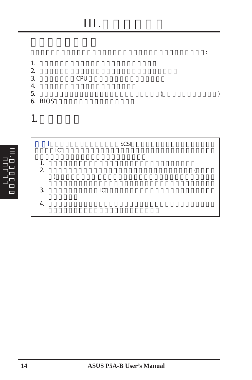| $\boldsymbol{2}$<br>$\mathcal{S}_{\mathcal{S}}$<br>$\overline{4}$ |        | <b>CPU</b> |  |  |
|-------------------------------------------------------------------|--------|------------|--|--|
| $\overline{5}$                                                    | 6 BIOS |            |  |  |

コンピューターを使う前に、次の手順に従ってインストールしてください。:

1.

| ${\rm IC}$    | $\operatorname{SCSI}$ |  |
|---------------|-----------------------|--|
| $\frac{1}{2}$ |                       |  |
| 3             | ${\rm IC}$            |  |
| 4             |                       |  |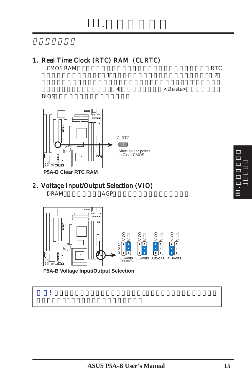#### 1. Real Time Clock (RTC) RAM (CLRTC)

CMOS RAM
RTC  $\frac{1}{2}$  $\overline{\mathbf{3}}$  $4 \leq \text{Delete}$ 

 $\frac{1}{2}$ 

**BIOS** 



#### 2. Voltage Input/Output Selection (VIO) DRAM AGP



**P5A-B Voltage Input/Output Selection**

**ASUS P5A-B User's Manual 15**

警 告 !電圧を標準より高く設定する事により、オーバークロックできる場合が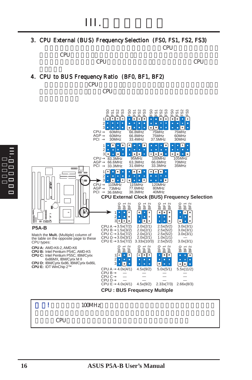

i<br>i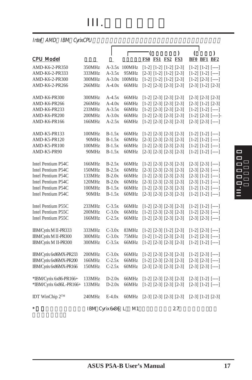Intel AMD IBM Cyrix CPU

| <b>CPU Model</b>               |        |                 | Г             | -0<br><b>FS0 FS1 FS2 FS3</b>    | 1  | ( | BF0 BF1 BF2             | )                     |
|--------------------------------|--------|-----------------|---------------|---------------------------------|----|---|-------------------------|-----------------------|
| AMD-K6-2-PR350                 | 350MHz |                 | A-3.5x 100MHz | $[1-2]$ $[1-2]$ $[1-2]$ $[2-3]$ |    |   | $[1-2] [1-2] [-]$       |                       |
| AMD-K6-2-PR333                 | 333MHz | $A-3.5x$        | 95MHz         | $[2-3] [1-2] [1-2] [2-3]$       |    |   | $[1-2] [1-2] [-]$       |                       |
| AMD-K6-2-PR300                 | 300MHz |                 | A-3.0x 100MHz | $[1-2] [1-2] [1-2] [2-3]$       |    |   | $[1-2] [2-3]$ $[--1]$   |                       |
| AMD-K6-2-PR266                 | 266MHz | $A-4.0x$        | 66MHz         | $[1-2]$ $[2-3]$ $[2-3]$ $[2-3]$ |    |   | $[2-3] [1-2] [2-3]$     |                       |
| AMD-K6-PR300                   | 300MHz | $A-4.5x$        | 66MHz         | $[1-2]$ $[2-3]$ $[2-3]$ $[2-3]$ |    |   | $[2-3] [2-3] [2-3]$     |                       |
| AMD-K6-PR266                   | 266MHz | $A-4.0x$        | 66MHz         | $[1-2]$ $[2-3]$ $[2-3]$ $[2-3]$ |    |   | $[2-3] [1-2] [2-3]$     |                       |
| AMD-K6-PR233                   | 233MHz | $A-3.5x$        | 66MHz         | $[1-2] [2-3] [2-3] [2-3]$       |    |   | $[1-2] [1-2] [-]$       |                       |
| AMD-K6-PR200                   | 200MHz | $A-3.0x$        | 66MHz         | $[1-2] [2-3] [2-3] [2-3]$       |    |   |                         | $[1-2] [2-3]$ $[--1]$ |
| AMD-K6-PR166                   | 166MHz | $A-2.5x$        | 66MHz         | $[1-2] [2-3] [2-3] [2-3]$       |    |   | $[2-3] [2-3] [---]$     |                       |
| AMD-K5-PR133                   | 100MHz | $B-1.5x$        | 66MHz         | $[1-2]$ $[2-3]$ $[2-3]$ $[2-3]$ |    |   | $[1-2] [1-2] [-]$       |                       |
| AMD-K5-PR120                   | 90MHz  | $B-1.5x$        | 60MHz         | $[2-3]$ $[2-3]$ $[2-3]$ $[2-3]$ |    |   | $[1-2] [1-2] [-]$       |                       |
| AMD-K5-PR100                   | 100MHz | $B-1.5x$        | 66MHz         | $[1-2] [2-3] [2-3] [2-3]$       |    |   | $[1-2] [1-2] [-]$       |                       |
| AMD-K5-PR90                    | 90MHz  | $B-1.5x$        | 60MHz         | $[2-3]$ $[2-3]$ $[2-3]$ $[2-3]$ |    |   | $[1-2] [1-2] [-]$       |                       |
| Intel Pentium P54C             | 166MHz | $B-2.5x$        | 66MHz         | $[1-2]$ $[2-3]$ $[2-3]$ $[2-3]$ |    |   | $[2-3] [2-3] [-]$       |                       |
| Intel Pentium P54C             | 150MHz | $B-2.5x$        | 60MHz         | $[2-3]$ $[2-3]$ $[2-3]$ $[2-3]$ |    |   | $[2-3] [2-3] [-]$       |                       |
| Intel Pentium P54C             | 133MHz | $B-2.0x$        | 66MHz         | $[1-2] [2-3] [2-3] [2-3]$       |    |   | $[2-3] [1-2] [-]$       |                       |
| Intel Pentium P54C             | 120MHz | $B-2.0x$        | 60MHz         | $[2-3]$ $[2-3]$ $[2-3]$ $[2-3]$ |    |   | $[2-3] [1-2] [-]$       |                       |
| Intel Pentium P54C             | 100MHz | $B-1.5x$        | 66MHz         | $[1-2] [2-3] [2-3] [2-3]$       |    |   | $[1-2] [1-2] [-]$       |                       |
| Intel Pentium P54C             | 90MHz  | $B-1.5x$        | 60MHz         | $[2-3] [2-3] [2-3] [2-3]$       |    |   | $[1-2] [1-2] [-]$       |                       |
| Intel Pentium P55C             | 233MHz | $C-3.5x$        | 66MHz         | $[1-2]$ $[2-3]$ $[2-3]$ $[2-3]$ |    |   | $[1-2] [1-2] [-]$       |                       |
| Intel Pentium P55C             | 200MHz | $C-3.0x$        | 66MHz         | $[1-2] [2-3] [2-3] [2-3]$       |    |   | $[1-2] [2-3]$ $[--1]$   |                       |
| Intel Pentium P55C             | 166MHz | $C-2.5x$        | 66MHz         | $[1-2]$ $[2-3]$ $[2-3]$ $[2-3]$ |    |   | $[2-3] [2-3] [-]$       |                       |
| IBM/Cyrix M II-PR333           | 333MHz | $C-3.0x$        | 83MHz         | $[1-2]$ $[2-3]$ $[1-2]$ $[2-3]$ |    |   | $[1-2] [2-3]$ $[---]$   |                       |
| IBM/Cyrix M II-PR300           | 300MHz | $C-3.0x$        | 75MHz         | $[1-2] [1-2] [2-3] [2-3]$       |    |   | $[1-2] [2-3]$ $[--1]$   |                       |
| IBM/Cyrix M II-PR300           | 300MHz | $C-3.5x$        | 66MHz         | $[1-2]$ $[2-3]$ $[2-3]$ $[2-3]$ |    |   | $[1-2] [1-2] [-]$       |                       |
| IBM/Cyrix 6x86MX-PR233         | 200MHz | $C-3.0x$        | 66MHz         | $[1-2]$ $[2-3]$ $[2-3]$ $[2-3]$ |    |   | $[1-2] [2-3]$ $[---]$   |                       |
| IBM/Cyrix 6x86MX-PR200         | 166MHz | $C-2.5x$        | 66MHz         | $[1-2] [2-3] [2-3] [2-3]$       |    |   | $[2-3] [2-3] [-]$       |                       |
| IBM/Cyrix 6x86MX-PR166         | 150MHz | $C-2.5x$        | 60MHz         | $[2-3]$ $[2-3]$ $[2-3]$ $[2-3]$ |    |   | $[2-3] [2-3] [-]$       |                       |
| *IBM/Cyrix 6x86-PR166+         | 133MHz | $D-2.0x$        | 66MHz         | $[1-2] [2-3] [2-3] [2-3]$       |    |   | $[2-3] [1-2] [-]$       |                       |
| *IBM/Cyrix 6x86L-PR166+ 133MHz |        | $D-2.0x$        | 66MHz         | $[1-2] [2-3] [2-3] [2-3]$       |    |   | $[2-3] [1-2] [-]$       |                       |
| IDT WinChip 2™                 | 240MHz | $E-4.0x$        | 60MHz         | $[2-3]$ $[2-3]$ $[2-3]$ $[2-3]$ |    |   | $[2-3]$ $[1-2]$ $[2-3]$ |                       |
| *                              |        | IBM Cyrix6x86 L | M1            |                                 | 27 |   |                         |                       |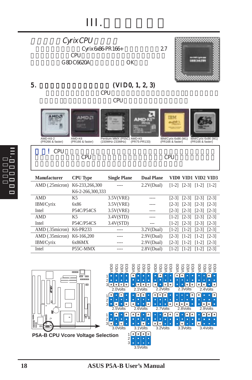

i<br>i

**18 ASUS P5A-B User's Manual**

1 2 3

∣¤

× × ×.

**D** 

 $\blacksquare$  -  $\blacksquare$ ╔

□

 $\cdot$  0

3.5Volts

<u>elelele</u> × ×.

2.6Volts

o ╔ n la

 $\vert$ o $\vert$  -

 $\blacksquare$ 

2.5Volts 2.6Volts 2.7Volts 2.8Volts 2.9Volts

à, −∣∙

×

व[≖

×

 $\lbrack \cdot \rbrack \cdot \lbrack \cdot \rbrack$ 

П

 $\blacksquare$ 

i,

×

Б

o le

п ×  $\lbrack \cdot \rbrack \cdot \rbrack$ 

×

ä, وافاك

3.0Volts 3.1Volts 3.2Volts 3.3Volts 3.4Volts

 $\Box$ 

**P5A-B CPU Vcore Voltage Selection**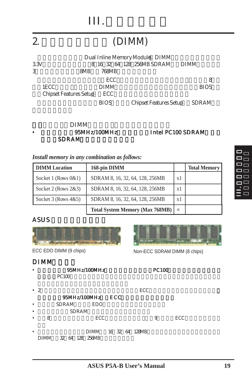|          | (DIMM)                                |                           |                                                               |                  |  |
|----------|---------------------------------------|---------------------------|---------------------------------------------------------------|------------------|--|
| 33V<br>3 | 8MB                                   | <b>768MB</b>              | Dual Inline Memory Modules DIMM<br>8 16 32 64 128 256MB SDRAM | <b>DIMM</b>      |  |
|          | 1ECC<br><b>Chipset Features Setup</b> | ECC<br><b>DIMM</b><br>ECC |                                                               | 8<br><b>BIOS</b> |  |
|          |                                       | <b>BIOS</b>               | <b>Chipset Features Setup</b>                                 | <b>SDRAM</b>     |  |

#### DIMM • 95MHz/100MHz Intel PC100 SDRAM SDRAM

#### *Install memory in any combination as follows:*

| <b>DIMM</b> Location    | 168-pin DIMM                           |    | <b>Total Memory</b> |
|-------------------------|----------------------------------------|----|---------------------|
| Socket 1 (Rows $0&4$ )  | SDRAM 8, 16, 32, 64, 128, 256MB        | x1 |                     |
| Socket 2 (Rows $2\&3$ ) | SDRAM 8, 16, 32, 64, 128, 256MB        | x1 |                     |
| Socket 3 (Rows $4&5$ )  | SDRAM 8, 16, 32, 64, 128, 256MB        | x1 |                     |
|                         | <b>Total System Memory (Max 768MB)</b> |    |                     |

#### **ASUS**



#### DIMM

- $95MHz/100MHz$   $PC100$   $PC100$ PC100
- 
- 95MHz/100MHz ECC SDRAM EDO
- **SDRAM**
- 8 ECC 9 ECC
- DIMM 16 32 64 128MB<br>• DIMM 32 64 128 256MB 32 64 128 256MB



ECC EDO DIMM (9 chips) Non-ECC SDRAM DIMM (8 chips)

• 2  $\text{ECC}$ 

III.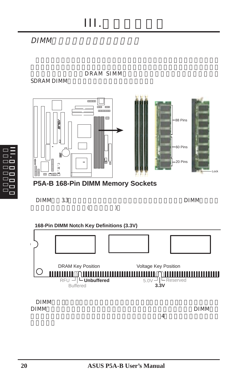DIMM

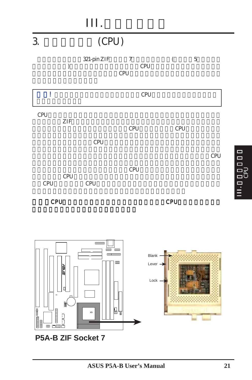| III.                                                                                                                                                                                                                                                                                                                                                                                                                                                                                                                                                                                                                                       |                                                    |                           |             |
|--------------------------------------------------------------------------------------------------------------------------------------------------------------------------------------------------------------------------------------------------------------------------------------------------------------------------------------------------------------------------------------------------------------------------------------------------------------------------------------------------------------------------------------------------------------------------------------------------------------------------------------------|----------------------------------------------------|---------------------------|-------------|
| $\mathbf{3}$                                                                                                                                                                                                                                                                                                                                                                                                                                                                                                                                                                                                                               | (CPU)                                              |                           |             |
| 321-pin ZIF<br>$\big)$                                                                                                                                                                                                                                                                                                                                                                                                                                                                                                                                                                                                                     | $\overline{7}$<br><b>CPU</b><br><b>CPU</b>         | (                         | $\mathbf 5$ |
| ţ                                                                                                                                                                                                                                                                                                                                                                                                                                                                                                                                                                                                                                          |                                                    | <b>CPU</b>                |             |
| <b>CPU</b><br>ZIF                                                                                                                                                                                                                                                                                                                                                                                                                                                                                                                                                                                                                          | CPU                                                | <b>CPU</b>                |             |
| <b>CPU</b>                                                                                                                                                                                                                                                                                                                                                                                                                                                                                                                                                                                                                                 |                                                    |                           |             |
| <b>CPU</b><br><b>CPU</b><br><b>CPU</b>                                                                                                                                                                                                                                                                                                                                                                                                                                                                                                                                                                                                     | <b>CPU</b>                                         |                           | <b>CPU</b>  |
| <b>CPU</b>                                                                                                                                                                                                                                                                                                                                                                                                                                                                                                                                                                                                                                 |                                                    | <b>CPU</b>                |             |
| $\begin{tabular}{ c c c c } \hline \quad \quad & \quad \quad & \quad \quad & \quad \quad \\ \hline \end{tabular}$<br>הן<br>הו<br>閳<br>$\begin{array}{ll} \hbox{\hbox{\small $\underbrace{\hspace{1.5cm} \overline{\hspace{1.5cm} \overline{\hspace{1.5cm} \overline{\hspace{1.5cm} \overline{\hspace{1.5cm} \overline{\hspace{1.5cm} \overline{\hspace{1.5cm} \overline{\hspace{1.5cm} \overline{\hspace{1.5cm} \overline{\hspace{1.5cm} \overline{\hspace{1.5cm} \overline{\hspace{1.5cm} \overline{\hspace{1.5cm} \overline{\hspace{1.5cm} \overline{\hspace{1.5cm} \overline{\hspace{1.5cm}}}}}}}\qquad \hbox{\small\textbf$<br>$\circ$ | uuun uun<br>$\frac{1}{2}$<br>$\rm \Xi{}$<br>⊞<br>ō | Blank<br>Lever -<br>Lock. |             |

**P5A-B ZIF Socket 7**

III. CPU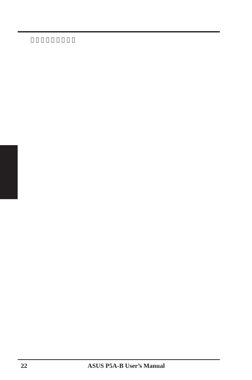**ASUS P5A-B User's Manual**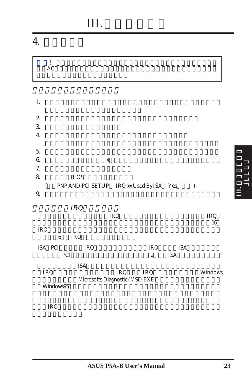| $\overline{4}$ |  |  |  |
|----------------|--|--|--|
|                |  |  |  |

| Ţ                                                                                     |                                               |                          |               |
|---------------------------------------------------------------------------------------|-----------------------------------------------|--------------------------|---------------|
| $\mathbf{A}\mathbf{C}$                                                                |                                               |                          |               |
|                                                                                       |                                               |                          |               |
| 1.                                                                                    |                                               |                          |               |
| $\mathbf{z}$<br>$\mathbf{3}$<br>$\overline{4}$                                        |                                               |                          |               |
| $\overline{5}$<br>$\rm 6$<br>$\overline{4}$<br>7.                                     |                                               |                          |               |
| 8<br><b>BIOS</b><br>PNP AND PCI SETUP IRQ xxUsed ByISA Yes<br>$\overline{(\ }$<br>$9$ |                                               |                          | $\mathcal{E}$ |
| <b>IRQ</b>                                                                            |                                               |                          |               |
|                                                                                       | IRQ                                           |                          | IRQ<br>16     |
| IRQ<br>$\,6\,$<br>IRQ                                                                 |                                               |                          |               |
| ISA PCI<br>IRQ<br>PCI                                                                 | IRQ<br>$\boldsymbol{2}$                       | <b>ISA</b><br><b>ISA</b> |               |
| <b>ISA</b><br>IRQ<br>Windows95                                                        | IRQ<br>IRQ<br>Microsofts Diagnostic (MSD.EXE) |                          | Windows       |
| IRQ                                                                                   |                                               |                          |               |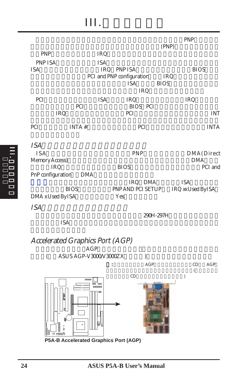|                   |                                 |            |                                         |             | <b>PNP</b>       |
|-------------------|---------------------------------|------------|-----------------------------------------|-------------|------------------|
|                   |                                 |            |                                         | (PNP)       |                  |
| <b>PNP</b>        |                                 | IRQ        |                                         |             |                  |
| PNP ISA           |                                 | <b>ISA</b> |                                         |             |                  |
| <b>ISA</b>        |                                 |            | IRQ PNPISA<br>PCI and PNP configuration | IRQ         | <b>BIOS</b>      |
|                   |                                 |            | <b>ISA</b>                              | <b>BIOS</b> |                  |
|                   |                                 |            | IRQ                                     |             |                  |
| PCI               |                                 | <b>ISA</b> | <b>IRQ</b>                              |             | IRQ              |
|                   | <b>PCI</b>                      |            | BIOS PCI                                |             |                  |
|                   | IRQ                             |            | <b>PCI</b>                              |             | INT              |
|                   |                                 |            |                                         |             |                  |
| PCI               | INTA #                          |            | <b>PCI</b>                              |             | <b>INTA</b>      |
|                   |                                 |            |                                         |             |                  |
| <b>ISA</b>        |                                 |            |                                         |             |                  |
| <b>ISA</b>        |                                 |            | <b>PNP</b>                              |             | DMA (Direct      |
| Memory Access)    |                                 |            |                                         |             | <b>DMA</b>       |
|                   | IRQ                             |            | <b>BIOS</b>                             |             | PCI and          |
| PnP configuration | <b>DMA</b>                      |            |                                         |             |                  |
|                   |                                 |            | IRQ DMA                                 |             | <b>ISA</b>       |
|                   | <b>BIOS</b>                     |            | PNP AND PCI SETUP                       |             | IRQ xxUsed ByISA |
| DMA xUsed ByISA   |                                 |            | Yes                                     |             |                  |
| <b>ISA</b>        |                                 |            |                                         |             |                  |
|                   |                                 |            |                                         | 290H-297H   |                  |
|                   | <b>ISA</b>                      |            |                                         |             |                  |
|                   |                                 |            |                                         |             |                  |
|                   | Accelerated Graphics Port (AGP) |            |                                         |             |                  |
|                   |                                 |            |                                         |             |                  |

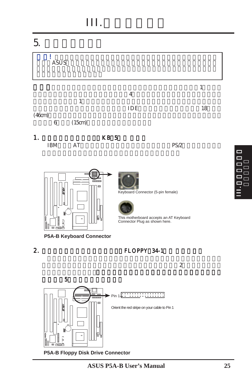| 5.     |                                                                                                                                                                                                                                                                                                                                                                                                                                                                                                                                                                                                                                                                                 |                                  |                                                                                                               |               |
|--------|---------------------------------------------------------------------------------------------------------------------------------------------------------------------------------------------------------------------------------------------------------------------------------------------------------------------------------------------------------------------------------------------------------------------------------------------------------------------------------------------------------------------------------------------------------------------------------------------------------------------------------------------------------------------------------|----------------------------------|---------------------------------------------------------------------------------------------------------------|---------------|
|        | I<br><b>ASUS</b>                                                                                                                                                                                                                                                                                                                                                                                                                                                                                                                                                                                                                                                                |                                  |                                                                                                               |               |
| (46cm) | $\mathbf{1}$                                                                                                                                                                                                                                                                                                                                                                                                                                                                                                                                                                                                                                                                    |                                  | $\overline{4}$<br><b>IDE</b>                                                                                  | $\,1\,$<br>18 |
| 1.     | (15cm)<br>$\,6$<br>IBM<br>$\mathbf{A}\mathbf{T}$                                                                                                                                                                                                                                                                                                                                                                                                                                                                                                                                                                                                                                | <b>KB</b> 5                      | PS/2                                                                                                          |               |
|        | mm<br>₩<br>$\begin{tabular}{ c c } \hline \quad \quad & \quad \quad & \quad \quad & \quad \quad \\ \hline \quad \quad & \quad \quad & \quad \quad \\ \hline \quad \quad & \quad \quad & \quad \quad \\ \hline \quad \quad & \quad \quad & \quad \quad \\ \hline \quad \quad & \quad \quad & \quad \quad \\ \hline \quad \quad & \quad \quad & \quad \quad \\ \hline \quad \quad & \quad \quad & \quad \quad \\ \hline \quad \quad & \quad \quad & \quad \quad \\ \hline \quad \quad & \quad \quad & \quad \quad \\ \hline \quad \quad & \quad \quad & \quad \quad \\ \hline \quad \quad & \quad \quad & \quad \quad \\ \hline \quad$<br>∐<br>⊒<br>ò<br>P5A-B Keyboard Connector | ‴<br>ᆖ<br>$\mathbf{m}$<br>◫<br>m | Keyboard Connector (5-pin female)<br>This motherboard accepts an AT Keyboard<br>Connector Plug as shown here. |               |



 $\mathbf 2$ 

 $5$  $\frac{1}{2}$  Pin 1  $\frac{1}{2}$  . . . . . . . . . . . . . . . . . . Orient the red stripe on your cable to Pin 1  $\underline{\blacksquare}$ 

**P5A-B Floppy Disk Drive Connector**

 $\dot{\Xi}$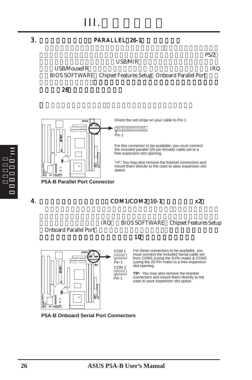

#### 3. PARALLEL 26-1

 $PS/2$ 

**USB/MIR** 

USB/Mouse/IR $_{\text{I}}$ BIOS SOFTWARE Chipset Features Setup Onboard Parallel Port

 $26$ 



4 . COM1/COM2 10-1 x2

Onboard Parallel Port

IRQ BIOS SOFTWARE Chipset Features Setup

#### $\mathbf{10}$

COM 2<br>**FEE** Pin 1

COM 1<br>[[[[[]] Pin 1

For these connectors to be available, you must connect the included Serial cable set from COM1 (using the 9-Pin male) & COM2 (using the 25-Pin male) to a free expansion slot opening.

**TIP:** You may also remove the bracket connectors and mount them directly to the case to save expansion slot space.

**P5A-B Onboard Serial Port Connectors**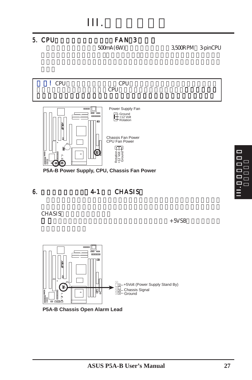### 5. CPU FAN 3

500mA(6W) 3,500RPM 3-pinCPU



 $6.$   $4-1$  CHASIS

CHASIS

 $+5VSB$ 

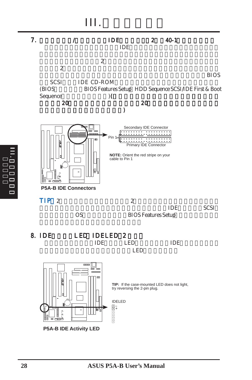

i<br>i

**P5A-B IDE Activity LED**

IDELED

+

**TIP:** If the case-mounted LED does not light, try reversing the 2-pin plug.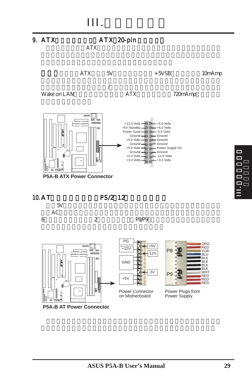#### III. 9. ATX 20-pin  $\overline{\text{ATX}}$  $ATX$  5V  $+5VSB$  10mAmp  $\sqrt{a}$ Wake on LAN  $ATX$ 720mAmp **P5A-B ATX Power Connector** +3.3 Volts -12.0 Volts  $\overline{\phantom{0}}$  Ground<br> $\overline{\phantom{0}}$  -12.0 Volts Power Supply On Ground Ground Ground -5.0 Volts +5.0 Volts +5.0 Volts Power Good +12.0 Volts  $+3.3$  Volts - $+3.3$  Volts  $-$ Ground +5.0 Volts Ground +5.0 Volts Ground +5V Standby



10. A T BS/2 12

 $AC$ 





Power Plugs from Power Supply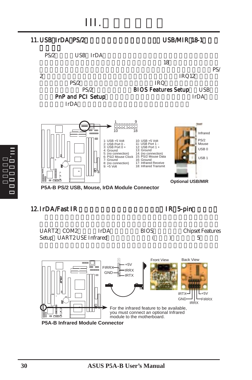

#### 12. IrDA/Fast IR IR 5-pin



i<br>i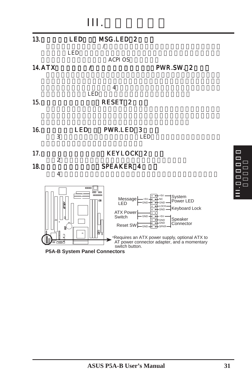|     |                                  |                            | III.                                                                                                                   |                                                                                                                                                                                                                                                                                                                         |
|-----|----------------------------------|----------------------------|------------------------------------------------------------------------------------------------------------------------|-------------------------------------------------------------------------------------------------------------------------------------------------------------------------------------------------------------------------------------------------------------------------------------------------------------------------|
| 13. |                                  | <b>LED</b>                 | MSG.LED 2                                                                                                              |                                                                                                                                                                                                                                                                                                                         |
|     | <b>14. ATX</b>                   | <b>LED</b><br>7            | Ϊ<br><b>ACPI OS</b>                                                                                                    | PWR.SW. 2                                                                                                                                                                                                                                                                                                               |
| 15. |                                  | <b>LED</b>                 | $\overline{4}$<br>RESET <sub>2</sub>                                                                                   |                                                                                                                                                                                                                                                                                                                         |
| 16. | 3                                | <b>LED</b>                 | <b>PWR.LED</b>                                                                                                         | 3<br><b>LED</b>                                                                                                                                                                                                                                                                                                         |
| 17. |                                  |                            | KEYLOCK <sub>2</sub>                                                                                                   |                                                                                                                                                                                                                                                                                                                         |
| 18. | $\overline{c}$<br>$\overline{4}$ |                            | SPEAKER 4                                                                                                              |                                                                                                                                                                                                                                                                                                                         |
|     | ▌<br>⊞ o⊞ŏ                       | $\frac{1}{2}$<br>$\bullet$ | 画画<br><b>CONTINUES</b><br>Message<br>Œ<br><b>LED</b><br><b>ATX Power</b><br>Switch<br>Reset SW.<br>밃<br>switch button. | System<br>N <sub>C</sub><br>+5V<br>Power LED<br>GND<br>GND<br>-LOCK<br><b>Keyboard Lock</b><br>-GND-<br>×<br>GND<br>$+5V$<br>a.<br>$\mathbf{a}$<br>Speaker<br>GND-<br><b>GND</b><br>Connector<br>$-SND$<br><b>SPKR</b><br>*Requires an ATX power supply, optional ATX to<br>AT power connector adapter, and a momentary |

**P5A-B System Panel Connectors** 

III.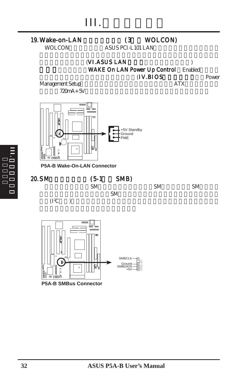



i<br>i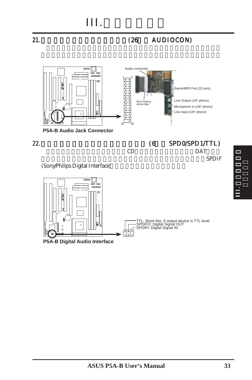

### 21. (26 AUDIOCON)

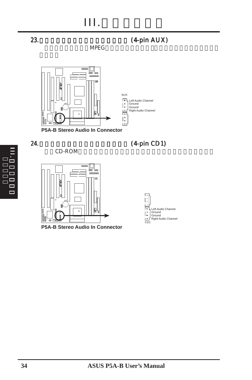









CD-ROM



**P5A-B Stereo Audio In Connector**





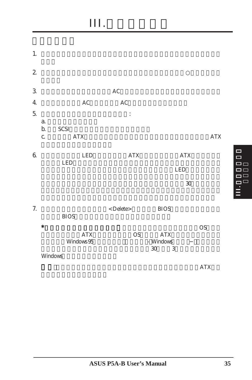|                                                | III.                                                                     |                                |                                                                 |                      |
|------------------------------------------------|--------------------------------------------------------------------------|--------------------------------|-----------------------------------------------------------------|----------------------|
| $1.$                                           |                                                                          |                                |                                                                 |                      |
| $\mathbf{2}% \in\mathbb{Z}_{+}^{d}[z,\bar{z}]$ |                                                                          |                                |                                                                 |                      |
| $\rm 3$                                        |                                                                          | AC                             |                                                                 |                      |
| $\bf 4$                                        | $\mathbf{A}\mathbf{C}$                                                   | AC                             |                                                                 |                      |
| $5\,$                                          | a.<br>$\mathbf b$<br><b>SCSI</b><br>$\operatorname{ATX}$<br>$\mathsf{C}$ | $\ddot{\cdot}$                 |                                                                 | $\operatorname{ATX}$ |
| $\rm 6$                                        | <b>LED</b><br><b>LED</b>                                                 | $\operatorname{ATX}$           | $\operatorname{ATX}$<br>$\ensuremath{\mathsf{LED}}$<br>$30\,$   |                      |
| $7. \,$                                        | <b>BIOS</b><br>$\ast$<br>$\operatorname{ATX}$<br>Windows 95<br>Windows   | $\langle$ Delete><br><b>OS</b> | <b>BIOS</b><br>$\operatorname{ATX}$<br>- Windows<br>$30\,$<br>3 | <b>OS</b>            |
|                                                |                                                                          |                                |                                                                 | <b>ATX</b>           |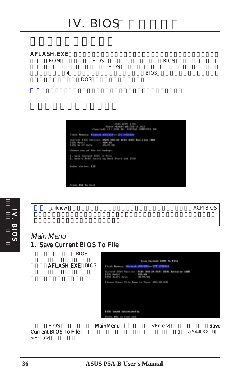



 $\frac{1}{2}$  unknown  $\frac{1}{2}$  unknown

### Main Menu

#### 1. Save Current BIOS To File

**RIOS** 

**AFLASH.EXE BIOS** 



**Current BIOS To File**  $a \lambda 440XX-1$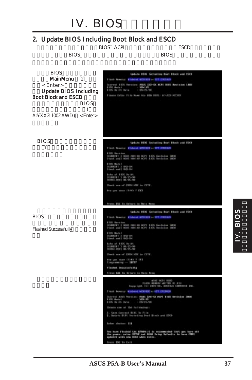#### 2. Update BIOS Including Boot Block and ESCD

**BIOS ACPI ESCD** 

<u>BIOS</u> **BIOS** 

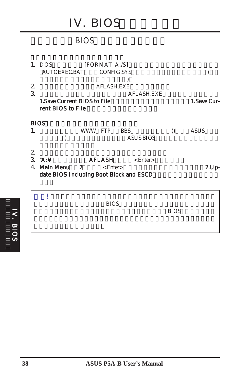### **BIOS**

| AUTOEXEC.BAT | $[FORMAT A:\mathcal{S}]$<br>CONFIG.SYS |                                                                  |                                                                                                                |              |
|--------------|----------------------------------------|------------------------------------------------------------------|----------------------------------------------------------------------------------------------------------------|--------------|
|              |                                        |                                                                  |                                                                                                                |              |
|              |                                        | <b>AFLASH.EXE</b>                                                |                                                                                                                |              |
|              |                                        |                                                                  |                                                                                                                | 1. Save Cur- |
| <b>BIOS</b>  |                                        |                                                                  |                                                                                                                |              |
|              |                                        | <b>ASUS BIOS</b>                                                 | $\mathcal{L}$                                                                                                  | <b>ASUS</b>  |
|              |                                        |                                                                  |                                                                                                                |              |
|              |                                        |                                                                  |                                                                                                                | $2Up-$       |
|              |                                        |                                                                  | <b>BIOS</b>                                                                                                    |              |
|              | "A:\"                                  | 1. Save Current BIOS to File<br>rent BIOS to File<br>Main Menu 2 | <b>AFLASH.EXE</b><br>WWW FTP BBS<br>$\epsilon$ Enter<br>date BIOS Including Boot Block and ESCD<br><b>BIOS</b> |              |

IV. BIOS IV. BIOS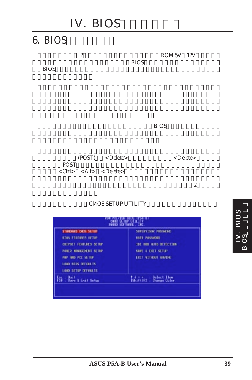## 6. BIOS

| ۰. |  |
|----|--|
|    |  |

ROM 5V 12V  $\overline{B}$ IOS

BIOS **Programs** 

 $\overline{B}$ IOS

|                                                                        | $(POST) \leq Delete$ | $\langle$ Delete $\rangle$ |
|------------------------------------------------------------------------|----------------------|----------------------------|
| <b>POST</b>                                                            |                      |                            |
| $\langle Ctr\rangle$ $\langle A\vert \rangle$ $\langle D\vert \rangle$ |                      |                            |

 $\mathbf{2}$ 

#### CMOS SETUP UTILITY

| STRICKED ONTS SETUP                 | SUPERVISOR PROGRAMS                                |
|-------------------------------------|----------------------------------------------------|
| <b>BIOS FERDINES SETIP</b>          | <b>LEET PRESIDEN</b>                               |
| <b>DUPSET FERTURES SETUP</b>        | <b>IDE NOT FRATO DETECTION</b>                     |
| <b><i>POWER NEWSTHEMT SETUP</i></b> | SENT & EXT1 SETUP                                  |
| <b>PIP ON RCI SETUP</b>             | <b>EKIT METHOLIC SIVIDE:</b>                       |
| <b>LOOD BIES INFORMES</b>           |                                                    |
| LOAD SETUP DEFINEDS.                |                                                    |
| s : Quit<br>it : Save & Exit Setuu  | Shift)F2 : Select Item<br>IShift)F2 : Change Color |

IV. BIOS IV. BIOS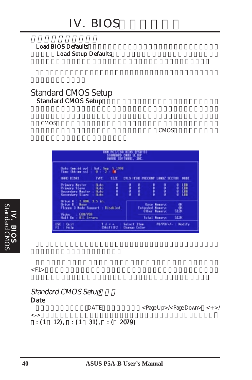#### Load BIOS Defaults Load Setup Defaults

#### Standard CMOS Setup Standard CMOS Setup

 $\rm{CMOS}$ 

| STIPRABID CROS SETUP<br><b><i>VAND SIX TAKE. INC.</i></b>                                                                                   |      |                                                                                                               |                                |      |                     |             |  |
|---------------------------------------------------------------------------------------------------------------------------------------------|------|---------------------------------------------------------------------------------------------------------------|--------------------------------|------|---------------------|-------------|--|
| 행복 <u>하는 동</u> 1998<br>late [m divy]<br><b>NED DISES</b><br>51.71<br><b>TWE</b>                                                             |      |                                                                                                               | CALS HERD PIECONF LANCE SECTOR |      |                     | <b>HODE</b> |  |
| Primary Master<br><b>Butto</b><br>Primary Slave<br>fluto.<br>Socondary Mayter<br><b>fluto</b><br>Seconders Slave<br><b>Huto</b>             | 0000 |                                                                                                               |                                | 8888 | ā<br>ä<br>ú         | 들고고고        |  |
| Brive 日: 2. 四射, 3.5 in.<br><b>British II</b> : None<br>Floppe 3 Made Support : Disabled<br><b>EQUALE</b><br>Wildoo!<br>Halt On : 811 Errors |      | <b>Ilivia Newary:</b><br>圜<br>Extended Reserv.<br>5138<br><b>Other Reserv:</b><br>512K<br><b>Total Neony:</b> |                                |      |                     |             |  |
| $\pm$ 0.61<br>FSE.<br>Skätt 3F2<br>: Help                                                                                                   |      | Select Ties<br><b>Change Color</b>                                                                            |                                |      | FLATLA J -   Modify |             |  |

 $\langle$  F1> $\langle$ 

IV. BIOS Standard CMOS

candard (

#### Standard CMOS Setup Date  $\text{DATE}$  < Page Up>  $\angle$  Page Down> < + > /  $\langle \cdot \rangle$  $:(1\quad12),\quad:(1\quad31),\quad:(2079)$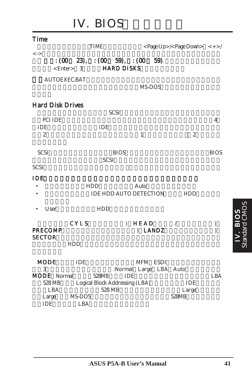|                                 | IV. BIOS                                                      |                        |                        |                     |                                              |                          |
|---------------------------------|---------------------------------------------------------------|------------------------|------------------------|---------------------|----------------------------------------------|--------------------------|
| Time                            | <b>TIME</b>                                                   |                        |                        |                     | < Page $Up$ $\times$ Page Down $\lt +$ $>$ / |                          |
| $\langle - \rangle$             | $(00 \t 23), (00 \t 59), (00$<br><enter> 3 HARD DISKS</enter> |                        |                        | 59).                |                                              |                          |
|                                 | AUTOEXEC.BAT                                                  |                        |                        |                     |                                              |                          |
|                                 |                                                               |                        |                        | MS-DOS              |                                              |                          |
| <b>Hard Disk Drives</b>         |                                                               |                        |                        |                     |                                              |                          |
| PCI IDE                         |                                                               | <b>SCSI</b>            |                        |                     |                                              | 4                        |
| IDE                             |                                                               | IDE                    |                        |                     |                                              |                          |
| 2                               |                                                               |                        | 1                      |                     | $\overline{2}$                               |                          |
| <b>SCSI</b>                     |                                                               | <b>BIOS</b>            |                        |                     |                                              | <b>BIOS</b>              |
| <b>SCSI</b>                     |                                                               | <b>SCSI</b>            |                        |                     |                                              |                          |
| <b>IDE</b>                      |                                                               |                        |                        |                     |                                              |                          |
| $\bullet$                       | <b>HDD</b>                                                    | IDE HDD AUTO DETECTION | Auto                   |                     | HDD                                          |                          |
| User                            |                                                               | HDD                    |                        |                     |                                              |                          |
| <b>PRECOMP</b><br><b>SECTOR</b> | CYLS                                                          | $\mathcal{L}$          |                        | $HEAD$ /<br>) LANDZ |                                              | $\big)$<br>$\mathcal{L}$ |
|                                 | <b>HDD</b>                                                    |                        |                        |                     |                                              |                          |
| <b>MODE</b><br>3                | <b>IDE</b>                                                    |                        | :Normal Large LBA Auto | MFM ESDI            |                                              |                          |
| 528 MB<br>LBA                   | <b>MODE</b> Normal 528MB<br>Logical Block Addressing (LBA)    | 528 MB                 | <b>IDE</b>             |                     | IDE<br>Large                                 | LBA                      |
| Large<br>IDE                    | MS-DOS<br>LBA                                                 |                        |                        |                     | 528MB                                        |                          |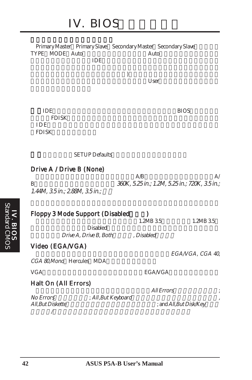TYPE MODE Auto

Primary Master Primary Slave Secondary Master Secondary Slave

 $\overline{A}$ 

 $\lambda$ 

**42 ASUS P5A-B User's Manual**  $\mathbf U$  served user  $\mathbf U$  served  $\mathbf V$  $IDE$  : BIOS  $F\text{DISK}$  $\rm{IDE}$ **FDISK SETUP Defaults** Drive A / Drive B (None)  $\overline{AB}$  and  $\overline{AB}$ B
B
B
B
B
B
B  $360K, 5.25$ in.; 1.2M, 5.25 in.; 720K, 3.5 in.; 1.44M, 35 in.; 288M, 35 in.; Floppy 3 Mode Support (Disabled ) 1.2MB 3.5 1.2MB 3.5  $D$  is abled Drive A, Drive B, Both(Disabled) Video (EGA $N$ GA)  $EGAVGA$ ,  $CGA$  40  $CGA$   $80$   $M$ ono  $H$ ercules  $MDA$  $VGA$ Halt On (All Errors)  $\Delta$ ll Errors( $\alpha$ No Errors(停止しない); All,But Keyboard(キーボード以外のすべてのエラー), ; and All,But Disk/Key  $\lambda$ 

IV. BIOS Standard CMOS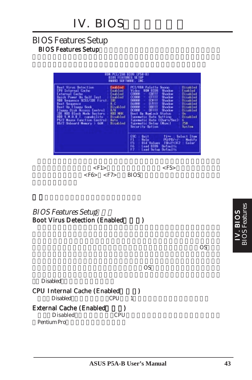### BIOS Features Setup **BIOS Features Setup**

| <b>BUDS FEATURES SETUP</b><br><b>ROUND SOFTWARE, 1NC.</b>                                                                                                                                                                                                                                                                                                                                                                                                                                                                    |                                                                                                                                                                                                                                                                                                                                                                                                                                                                                                                                                                                                                                                                                                                                                                                                                                                                                 |  |  |  |  |  |
|------------------------------------------------------------------------------------------------------------------------------------------------------------------------------------------------------------------------------------------------------------------------------------------------------------------------------------------------------------------------------------------------------------------------------------------------------------------------------------------------------------------------------|---------------------------------------------------------------------------------------------------------------------------------------------------------------------------------------------------------------------------------------------------------------------------------------------------------------------------------------------------------------------------------------------------------------------------------------------------------------------------------------------------------------------------------------------------------------------------------------------------------------------------------------------------------------------------------------------------------------------------------------------------------------------------------------------------------------------------------------------------------------------------------|--|--|--|--|--|
| <b>Bast Virus Betection</b><br><b>FashTed</b><br><b>Indiana</b><br><b>CPE Internal Cache</b><br>sternal Ceche<br>Enabled<br><b>Duick Power Un Self lest</b><br><b>Enabled</b><br>HDD Sougarca SCS1/1DL First:<br>DR.<br>a.c<br><b>Book Sockweice</b><br><b>Beat the Fleasy Seek</b><br><b>Bischled</b><br>many Disk Moones Emetrol<br>874<br>HOD Black Hode Sectors:<br>HOLL HEIN<br>個章 S.M.A.R.T. commebality →<br><b>Bixabled</b><br>PS/2 Mouse Function Control:<br>Buto:<br><b>Bitchled</b><br>DS/2 Deboard Monory > GUN | <b>PCL/VER Palette Socon</b><br>Disabled.<br><b><i>BOH RTOS</i></b><br><b>Environment</b><br>Sivilia<br>Vicken<br><b>CEEFF</b><br>CODE<br>Disabled<br>Shadow<br>0300<br><b>CEFFF</b><br>1989<br><b>Disabled</b><br>Shadow.<br><b>DOORS -</b><br><b>DOM: N</b><br>Disabled<br><b>Studes</b><br><b>IMODE -</b><br><b>DALL</b><br><b>Disabled</b><br>Studes<br>DES FF<br><b>CONTRACTOR</b><br>Shadow<br><b>Disabled</b><br>DOORD - DEEFF<br><b>Shocker</b><br>Disabled<br>On.<br><b>Boot to Number Status</b><br><b>Tupemento: Rote Setting</b><br>Disabled<br>Ispenantic Reta (Charn/Sec):<br>6.<br><b>Dependic Dolar Disori</b><br>之群<br><b>System</b><br>Security Option<br>ESC.<br>: Buit<br>Time : Salect Item<br>PU/PD/+/- : Model's<br><b>Bain</b><br>81.<br>FS<br><b>Bld Values</b><br>IShif1372 : Colar<br>FG<br><b>Laad BIDS: Befoults:</b><br>F)<br>Laad Sclap Befoults |  |  |  |  |  |

 $\langle F1\rangle$   $\langle F5\rangle$  $\langle F6 \rangle$   $\langle F7 \rangle$  BIOS

#### BIOS Features Setup Boot Virus Detection (Enabled: )

 $\overline{\text{OS}}$ 

 $\overline{\text{OS}}$ 

Disabled

#### CPU Internal Cache (Enabled: ) 無効(Disabled)を選択すると、CPU内部1次キャッシュがオフになります。 External Cache (Enabled: )<br>Disabled:  $\begin{array}{cc} \text{CPU} \end{array}$ Disabled Pentium Pro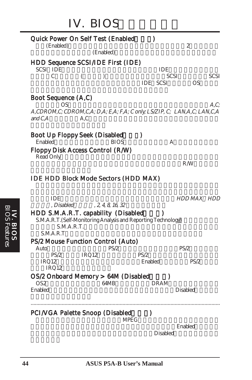| Quick Power On Self Test (Enabled<br>(Enabled)                                                                                                            | )<br>2                                                                                      |
|-----------------------------------------------------------------------------------------------------------------------------------------------------------|---------------------------------------------------------------------------------------------|
| (Enabled)                                                                                                                                                 |                                                                                             |
| HDD Sequence SCSIADE First (IDE)<br>SCSI IDE<br>C<br>(<br>$\mathcal{E}$                                                                                   | <b>IDE</b><br><b>SCSI</b><br>SCSI<br><b>IDE</b><br><b>SCSI</b><br><b>OS</b>                 |
| Boot Sequence (A,C)<br>OS<br>and $CA$<br>A.C                                                                                                              | A.C:<br>A, CDROM, C; CDROM, C, A; D, A; E, A; F, A; C only, LS/ZIP, C; LAN, A, C; LAN, C, A |
| Boot Up Floppy Seek (Disabled<br>Enabled<br><b>BIOS</b><br>Floppy Disk Access Control (R/W)<br>Read Only                                                  | )<br>A<br>R W                                                                               |
| <b>IDE HDD Block Mode Sectors (HDD MAX)</b><br><b>IDE</b>                                                                                                 | HDD MAX HDD                                                                                 |
| , Disabled<br>2481632<br>HDD S.M.A.R.T. capability (Disabled<br>S.M.A.R.T. (Self-Monitoring Analysis and Reporting Technology)<br>S.M.A.R.T.<br>S.M.A.R.T |                                                                                             |
| PS/2 Mouse Function Control (Auto)<br>PS/2<br>Auto<br>PS/2<br>IRQ12<br>IRQ12<br>IRQ12                                                                     | PS/2<br>PS/2<br>Enabled<br>PS/2                                                             |
| OS/2 Onboard Memory > 64M (Disabled<br>OS <sub>2</sub><br>64MB<br>Enabled                                                                                 | <b>DRAM</b><br><b>Disabled</b>                                                              |
| PCI/VGA Palette Snoop (Disabled                                                                                                                           | $\mathcal{E}$<br>MPEG<br>Enabled<br>Disabled                                                |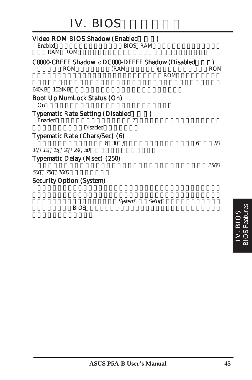| Enabled           | Video ROM BIOS Shadow (Enabled<br>RAM ROM           | BIOS RAM |            |            |
|-------------------|-----------------------------------------------------|----------|------------|------------|
|                   | C8000-CBFFF Shadow to DC000-DFFFF Shadow (Disabled  |          |            |            |
|                   | <b>ROM</b>                                          | (RAM     | <b>ROM</b> | <b>ROM</b> |
| 640KB<br>1024KB   |                                                     |          |            |            |
| On                | Boot Up NumLock Status (On)                         |          |            |            |
| Enabled           | <b>Typematic Rate Setting (Disabled</b><br>Disabled | 2        |            |            |
|                   | Typematic Rate (Chars/Sec) (6)                      | 630/     | 6          | 8          |
| 10 12 15 20 24 30 |                                                     |          |            |            |
|                   | Typematic Delay (Msec) (250)                        |          |            |            |
| 500 750 1000      |                                                     |          |            | 250        |
|                   | <b>Security Option (System)</b>                     |          |            |            |
|                   |                                                     |          |            |            |

<u>System Setup</u><br>BIOS

 $\rm BIOS$ 

IV. BIOS<br>BIOS Features BIOS FeaturesIV. BIOS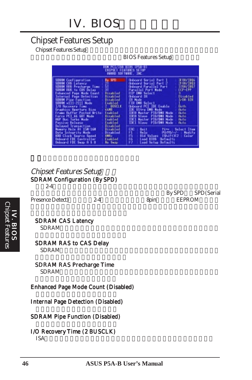### Chipset Features Setup

Chipset Features Setup

#### **BIOS Features Setup**

| <b>CROPSET FEBRUIES SETING</b><br><b>FUELD SEA 7882. INC.</b>                                                                                                                                                                                                                                                                                                                                                                                                                                                                                                                                                                                  |                                                                                                                                                                                                                                                                                                                                                                                                                                                                                                                                                                                        |  |  |  |  |  |  |
|------------------------------------------------------------------------------------------------------------------------------------------------------------------------------------------------------------------------------------------------------------------------------------------------------------------------------------------------------------------------------------------------------------------------------------------------------------------------------------------------------------------------------------------------------------------------------------------------------------------------------------------------|----------------------------------------------------------------------------------------------------------------------------------------------------------------------------------------------------------------------------------------------------------------------------------------------------------------------------------------------------------------------------------------------------------------------------------------------------------------------------------------------------------------------------------------------------------------------------------------|--|--|--|--|--|--|
| SDRRM Configuration<br>Ev SPO<br><b>SDRIM CFRS Latinvist</b><br>SDOOM REG Pracharum Time<br>SDRAM FERS to CAS Delay.<br>Enhanced Page Mode Count<br>Diumbled<br>Internal Fage Detection<br>Disabled<br>÷<br>SDRRM Pipe Function:<br><b>Distabilist</b><br>SDRAM w111-2111 Mode<br><b>Franchist</b><br>2 BISCHE<br>1/8 Noccupra Time<br><b>Drashics Reenturn Size</b><br>14.93<br><b>Frame EkdTer Posted Write:</b><br><b>Englished</b><br>Ferce PEI 66 GHT Nede<br>Disabled<br>÷<br><b>BEP But Turks Hode</b><br><b>Tashled</b><br>Passive Release<br>Femilied<br><b>Wilmund Transaction</b><br>Pasabled<br>Mamory Hole At 15M-16M<br>Dunabled | <b>REALITY</b><br><b>Onlined Sectal Part</b><br>жамтыз<br><b>Onlyword Serial Fort 2</b><br>Onboard Parallel Part<br>378407017<br>ECP+EFF<br>Parallel Port Mode<br>ECP DNB Soloci<br>Orboard IR<br><b>Bischled</b><br><b>TR Node</b><br>L DR 533<br><b>FIR DMK Select</b><br>Both<br>Orboord PCI IDE Engble<br>IIE Ultra DNA Mode<br><b>Buto</b><br>IIEB Nactor FID/BMI Node : Skito.<br><b>ITED SLapp PID/BMI Hode :</b><br><b>Buto</b><br>ITE 1 Nasher PTD/B01 Node 1<br><b>Butto</b><br><b>IDE1 Stave PTD/DNT Hode +</b><br><b>Butto</b><br>ESC : Built<br><b>Time : Solar! Item</b> |  |  |  |  |  |  |
| Deta Integrity Mode<br>Diamled<br><b>EBB Clock Searce Speed</b><br><b>EBIT</b><br><b>Tambied</b><br>Dehawd FDC Cantroller<br>Dehaard FDC Saap B 5 8<br><b>No Switch</b>                                                                                                                                                                                                                                                                                                                                                                                                                                                                        | PU/FD/+/+ : Moduly<br>91.<br>: Bain<br>F5<br>: Old Values (Shift)E2 : Color<br>F6<br><b>Laad BIDS</b> Beford to<br>57<br>Land Selap Beloults                                                                                                                                                                                                                                                                                                                                                                                                                                           |  |  |  |  |  |  |

#### Chipset Features Setup SDRAM Configuration (By SPD)  $24$

IV. BIOS Chipset Features

By SPD SPD(Serial Presence Detect)  $2-4$  8pin EEPROM

### SDRAM CAS Latency

 $SDRAM$ 

#### SDRAM RAS to CAS Delay SDRAM

SDRAM RAS Precharge Time  $SDRAM$ 

Enhanced Page Mode Count (Disabled)

Internal Page Detection (Disabled)

SDRAM Pipe Function (Disabled)

#### I/O Recovery Time (2 BUSCLK)  $ISA$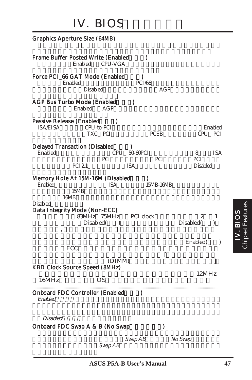| Graphics Aperture Size (64MB)                                                  |                             |                        |           |                             |                       |
|--------------------------------------------------------------------------------|-----------------------------|------------------------|-----------|-----------------------------|-----------------------|
| Frame Buffer Posted Write (Enabled<br>Enabled                                  | CPU-VGA                     | $\mathbf{)}$           |           |                             |                       |
| Force PCI_66 GAT Mode (Enabled<br>Enabled                                      | <b>Disabled</b>             | )<br>PCI <sub>66</sub> | AGP       |                             |                       |
| AGP Bus Turbo Mode (Enabled<br>Enabled                                         | AGP                         | $\mathcal{E}$          |           |                             |                       |
| <b>Passive Release (Enabled</b><br><b>ISAÆISA</b>                              | )<br>CPU-to-PCI<br>TXC PCI  | <b>PCEB</b>            |           | CPU                         | Enabled<br><b>PCI</b> |
| <b>Delayed Transaction (Disabled</b><br>Enabled<br>PCI 21                      | <b>CPU</b><br>PCI           | J<br>50-60PCI<br>ISA   | PCI       | 8<br>PCI<br><b>Disabled</b> | <b>ISA</b>            |
| Memory Hole At 15M-16M (Disabled<br>Enabled<br>15MB<br>16MB<br><b>Disabled</b> | <b>ISA</b>                  | )                      | 15MB-16MB |                             |                       |
| Data Integrity Mode (Non-ECC)                                                  | 83MHz 75MHz<br>Disable d( ) | PCI clock              |           | 2.<br>Disabled(             | -1<br>$\mathcal{E}$   |
| ECC                                                                            |                             |                        | ſ         | Enabled(                    | $\mathcal{E}$         |
| <b>KBD Clock Source Speed (8MHz)</b>                                           | (DIMM)                      |                        |           |                             | 1                     |
| 16MHz                                                                          | OS                          |                        |           | 12MHz                       |                       |
| <b>Onboard FDC Controller (Enabled</b><br>Enabled                              |                             | 1                      |           |                             |                       |
| Disabled<br>Onboard FDC Swap A & B (No Swap                                    |                             |                        | )         |                             |                       |
|                                                                                | SwapAB                      | Swap AB                |           | No Swap                     |                       |

IV. BIOS Chipset Features

IV. BIOS<br>Chipset Features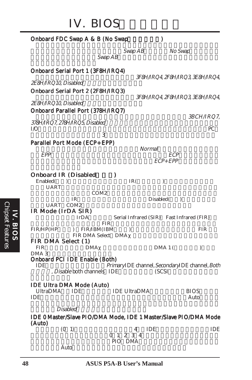| Onboard FDC Swap A & B (No Swap                                                   | $\lambda$                                                       |
|-----------------------------------------------------------------------------------|-----------------------------------------------------------------|
| Swap AB                                                                           | Swap AB<br>No Swap                                              |
| Onboard Serial Port 1 (3F8HARQ4)                                                  |                                                                 |
| 2ESHARQ10 Disabled                                                                | <b>F&amp;HARQ4, 2F&amp;HARQ3, 3E&amp;HARQ4</b>                  |
| Onboard Serial Port 2 (2F8H/IRQ3)                                                 | <b>FSHARQ4 2FSHARQ3 3ESHARQ4</b>                                |
| 2E8HARQ10 Disabled                                                                |                                                                 |
| Onboard Parallel Port (378H/IRQ7)                                                 | <i>3BCHARQ7,</i>                                                |
| 378HIRQ7, 278HIRQ5, Disabled<br>ΙO                                                | PC                                                              |
| З                                                                                 |                                                                 |
| Parallel Port Mode (ECP+ EPP)                                                     | Normal                                                          |
| EPP                                                                               | ECP<br>ECP+ EPP                                                 |
| Onboard IR (Disabled<br>1<br>Enabled(<br>$\lambda$<br><b>UART</b>                 | IR(<br>$\mathcal{E}$                                            |
| COM <sub>2</sub><br><b>IR</b>                                                     | Disabled(<br>$\overline{\phantom{a}}$                           |
| UART COM2<br>IR Mode (IrDA SIR)<br>IrDA                                           | Serial Infrared (SIR) Fast Infrared (FIR)                       |
| <b>FIR</b><br>FIRABM(IBM<br>FIR/HP(HP<br>$\mathcal{L}$                            | <b>FIR</b><br>$\mathcal{E}$                                     |
| FIR DMA Select DMA<br>FIR DMA Select (1)                                          |                                                                 |
| <b>FIR</b><br><b>DMA</b><br>DMA <sub>3</sub>                                      | <b>DMA1(</b><br>$\mathcal{E}$                                   |
| Onboard PCI IDE Enable (Both)<br><b>IDE</b><br>, <i>Disable</i> both channels IDE | PrimaryIDE channel, SecondaryIDE channel, Both<br>(SCSI         |
| <b>IDE Ultra DMA Mode (Auto)</b><br>UltraDMA<br><b>IDE</b><br><b>IDE</b>          | <b>IDE UltraDMA</b><br><b>BIOS</b><br>Auto                      |
| Disabled                                                                          |                                                                 |
| (Auto)                                                                            | IDE OMaster Slave PIO/DMA Mode, IDE 1 Master Slave PIO/DMA Mode |
| (0 1)<br>0 1 2 3 4                                                                | <b>IDE</b><br><b>IDE</b><br>4                                   |
| PIO DMA<br>Auto                                                                   |                                                                 |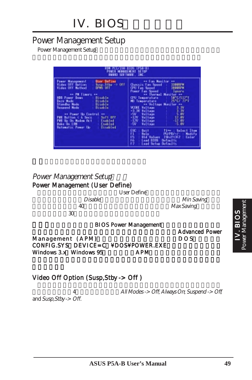### Power Management Setup

Power Management Setup

| <b>FUEL MAGGERIT SETS</b><br><b>RUBBI SEE THREE. INC.</b>                                                                                                                                                                                                                                                                                                                                                                                                                           |                                                                                                                                                                                                                                                                                                                                                                                                                                                                                                                                                                                                                                               |  |  |  |  |  |  |
|-------------------------------------------------------------------------------------------------------------------------------------------------------------------------------------------------------------------------------------------------------------------------------------------------------------------------------------------------------------------------------------------------------------------------------------------------------------------------------------|-----------------------------------------------------------------------------------------------------------------------------------------------------------------------------------------------------------------------------------------------------------------------------------------------------------------------------------------------------------------------------------------------------------------------------------------------------------------------------------------------------------------------------------------------------------------------------------------------------------------------------------------------|--|--|--|--|--|--|
| <b>Team Malagement</b><br><b>Goer Define</b><br>Script, S1by -1-011<br>lidea Off Bation<br>Video Off Nethod<br>on FM Timors on<br><b>IDD Power Down</b><br><b>Blackle</b><br>Deze Mode - -<br><b>Bisable</b><br>Standby Node<br><b>Bischle</b><br><b>Sensored Mode</b><br>lisable<br>** Power the Control.<br>33<br>FWW Hatton C & Secu<br>Soft Sff<br>FWW tha Dia Madeon Fact<br><b>Englished</b><br><b>Voice On LFR 2000</b><br>Enabled<br><b>Dutmentic Power Up:</b><br>Disabled | ee Fan Manitor ee<br>Chassis Fan Speed<br>20040-0-14<br>GPU Fan Savord - 2000/094<br><b>Power Fan Speed</b><br><b>Jangro</b><br>as Ibermal Monitor as<br>GN Teaperature : SBPC/112°F<br>- 25707-7778<br>MB Temperature :<br>** Voltage Morciter<br><b>WORE Wallace</b><br>湿眼<br>+3.3V Valtage<br>-SV -<br><b>Tallace</b><br>12.07<br>$+12V$<br><b>Tal face</b><br>$-12V$<br>.W<br><b>Building</b><br>-50<br>w<br><b>Val Louis</b><br>ESC.<br>Time : Salact Itam<br>: Butt<br>$\pm$ Balo-<br><b>PU/PD/+/- : Nodify</b><br>81.<br><b>Gld Values</b> [Shift]32 : Color<br>FS<br>56<br>1 laad lillis Befaults<br>57<br><b>Land Selap Befoults</b> |  |  |  |  |  |  |

#### Power Management Setup Power Management (User Define)

**User Define** 

 $30$ 

指定に従う設定です;Disableは節電機能を使用しない設定です;Min Savingは、使 Max Saving

#### **BIOS Power Management**

Advanced Power

Management (APM) DOS CONFIG.SYS DEVICE= C \DOS\POWER.EXE Windows 3.x Windows 95 APM

#### Video Off Option (Susp,Stby -> Off )

All Modes -> Off; Always On; Suspend -> Off; and Susp,Stby -> Off.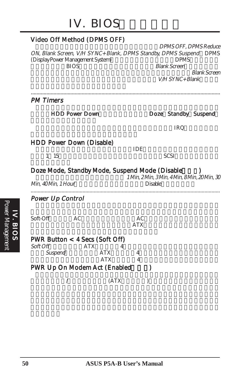| Video Off Method (DPMS OFF)                                                                     |                                                                                                                                                                             |
|-------------------------------------------------------------------------------------------------|-----------------------------------------------------------------------------------------------------------------------------------------------------------------------------|
| (DisplayPower Management System)<br><b>BIOS</b>                                                 | DPMS OFF, DPMS Reduce<br>ON, Blank Screen, V/H SYNC+ Blank, DPMS Standby, DPMS Suspend DPMS<br><b>DPMS</b><br><b>Blank Screen</b><br><b>Blank Screen</b><br>V.H SYNC+ Blank |
| <b>PM Timers</b>                                                                                |                                                                                                                                                                             |
| <b>HDD Power Down</b>                                                                           | Doze Standby Suspend                                                                                                                                                        |
|                                                                                                 | IRQ                                                                                                                                                                         |
| HDD Power Down (Disable)<br>1 15                                                                | <b>IDE</b><br><b>SCSI</b>                                                                                                                                                   |
| Doze Mode, Standby Mode, Suspend Mode (Disable<br>Min, 40Min, 1 Hour                            | 1 Min, 2 Min, 3 Min, 4 Min, 8 Min, 20 Min, 30<br><b>Disable</b>                                                                                                             |
| <b>Power Up Control</b>                                                                         |                                                                                                                                                                             |
| Soft-Off<br>AC                                                                                  | AC<br><b>ATX</b>                                                                                                                                                            |
| PWR Button < 4 Secs (Soft Off)<br>Soft Off<br><b>ATX</b><br>Suspend<br><b>ATX</b><br><b>ATX</b> | 4<br>4<br>4                                                                                                                                                                 |
| PWR Up On Modem Act (Enabled                                                                    |                                                                                                                                                                             |
| (ATX                                                                                            |                                                                                                                                                                             |

IV. BIOS Power Management

IV. BIOS<br>Power Management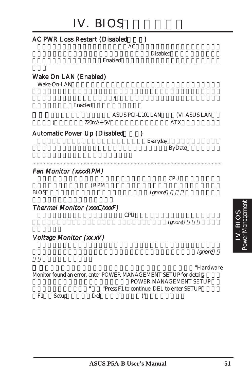| IV. BIOS                                                             |  |
|----------------------------------------------------------------------|--|
| <b>AC PWR Loss Restart (Disabled</b><br>$\mathcal{E}$                |  |
| AC                                                                   |  |
| Disabled<br>Enabled                                                  |  |
|                                                                      |  |
| Wake On LAN (Enabled)<br>Wake-On-LAN                                 |  |
|                                                                      |  |
| Τ                                                                    |  |
| Enabled                                                              |  |
| ASUS PCI-L101 LAN<br>(VI.ASUS LAN                                    |  |
| <b>ATX</b><br>$\mathcal{E}$<br>720mA+5V                              |  |
| Automatic Power Up (Disabled<br>)                                    |  |
| Everyday                                                             |  |
| <b>ByDate</b>                                                        |  |
|                                                                      |  |
| Fan Monitor (xxxRPM)                                                 |  |
| <b>CPU</b>                                                           |  |
| (RPM                                                                 |  |
| <b>BIOS</b><br>Ignore                                                |  |
|                                                                      |  |
| Thermal Monitor (xxxC/xxxF)                                          |  |
| CPU<br>Ignore                                                        |  |
|                                                                      |  |
| Voltage Monitor (xx xV)                                              |  |
|                                                                      |  |
| Ignore                                                               |  |
|                                                                      |  |
| "Hardware                                                            |  |
| Monitor found an error, enter POWER MANAGEMENT SETUP for details     |  |
| POWER MANAGEMENT SETUP<br>"Press F1 to continue, DEL to enter SETUP( |  |
| F1<br>Setup<br>Del                                                   |  |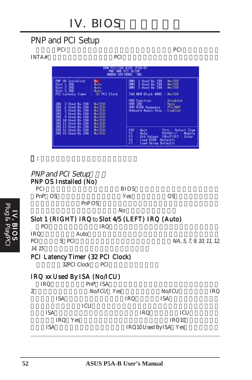

INTA#

PCI PCI

| FWP FAID PCL SETUP<br><b>FUELD SEATURE: INC.</b>                                                                                                                                                                                                                                                                                                                              |                                                                                                                                                                                                                                                                                                                    |  |  |  |  |  |  |
|-------------------------------------------------------------------------------------------------------------------------------------------------------------------------------------------------------------------------------------------------------------------------------------------------------------------------------------------------------------------------------|--------------------------------------------------------------------------------------------------------------------------------------------------------------------------------------------------------------------------------------------------------------------------------------------------------------------|--|--|--|--|--|--|
| # 05 Installed<br><b>Buto</b><br><b>Auto</b><br><b>Buto</b><br><b>FEI Latercy Timer</b><br><b>E FLI Clock</b><br><b>No./1011</b><br>3 Hard<br>150<br><b>Bu</b><br><b>Ba/100</b><br><b>Sha</b><br>180<br><b>Na/100</b><br>180<br>Used By<br>150<br>thing the<br>3a/101<br>9 Uced By 15B<br>Na/IEB<br>No/TED<br>10 Hord<br><b>TSB</b><br><b>No/TOD</b><br>188<br><b>Hood Ru</b> | <b>Bund Far TSR</b><br>問題<br><b>UMB</b><br>OHR.<br><b>Bood By 198</b><br>5 Hood By 198<br>Nev101<br><b>CINET</b><br><b>ISR NEW Block BRSE : No/303</b><br><b>ISB Function</b><br>Disabled<br><b>USE TRE</b><br><b>Burla</b><br><b>Will Ellis Sougance</b><br><b>FCLARE</b><br><b>Onboard Budio Chia</b><br>Enabled |  |  |  |  |  |  |
| <b>Ba/100</b><br>ISO<br><b>Ba/ICU</b><br>Used<br>Bu.<br>180<br>15 Used By 198<br><b>Ba/101</b>                                                                                                                                                                                                                                                                                | ESC : Buit<br>Salact Ites<br><b>Time</b><br>п<br>PU/FD/+/- : Model's<br><b>Balo</b><br>FS<br><b>Bid Values</b><br><b>ENTITE2:</b><br><b>Colar</b><br>F6<br>Laad BIDS: Befoulds<br>F)<br>Land Selva Beford to                                                                                                       |  |  |  |  |  |  |

 $\begin{array}{lll} \bullet \end{array}$ 

IV. BIOS Plug & PlayPCI

**IV. BIUS**<br>Plug & PlayPCI

| <b>PNP</b> and <b>PCI</b> Setup<br>PNP OS Installed (No) |                 |            |    |             |                     |                |     |                 |
|----------------------------------------------------------|-----------------|------------|----|-------------|---------------------|----------------|-----|-----------------|
| <b>PCI</b>                                               |                 |            |    | <b>BIOS</b> |                     |                |     |                 |
| PnP OS                                                   |                 |            |    | Yes         |                     | OS             |     |                 |
|                                                          |                 |            |    |             |                     |                |     |                 |
|                                                          | <b>PnPOS</b>    |            |    |             |                     |                |     |                 |
|                                                          |                 |            | No |             |                     |                |     |                 |
| $Slot 1 (RIGHT) IRQ to Slot 4/5 (LEFT) IRQ (Auto)$       |                 |            |    |             |                     |                |     |                 |
| <b>PCI</b>                                               |                 | <b>IRQ</b> |    |             |                     |                |     |                 |
|                                                          | Auto            |            |    |             |                     |                |     |                 |
| IRQ.                                                     |                 |            |    |             |                     |                |     |                 |
| PCI.                                                     | 5 PCI           |            |    |             |                     |                |     | NA, 5791011, 12 |
| 14 15                                                    |                 |            |    |             |                     |                |     |                 |
| PCI Latency Timer (32 PCI Clock)                         |                 |            |    |             |                     |                |     |                 |
|                                                          | 32PCI Clock PCI |            |    |             |                     |                |     |                 |
|                                                          |                 |            |    |             |                     |                |     |                 |
| IRQ xx Used By ISA (NoACU)                               |                 |            |    |             |                     |                |     |                 |
| IRQ                                                      |                 | PnP ISA    |    |             |                     |                |     |                 |
| $\overline{2}$                                           |                 |            |    |             |                     |                |     |                 |
|                                                          |                 | NoACU Yes  |    |             |                     | No <i>l</i> CU |     | <b>IRQ</b>      |
| <b>ISA</b>                                               |                 |            |    | <b>IRQ</b>  |                     | <b>ISA</b>     |     |                 |
|                                                          | ICU             |            |    |             |                     |                |     |                 |
| <b>ISA</b>                                               |                 |            |    |             | <b>IRQ</b>          |                | ICU |                 |
|                                                          | IRQ Yes         |            |    |             |                     | IRQ10          |     |                 |
| <b>ISA</b>                                               |                 |            |    |             | IRQ10Used ByISA Yes |                |     |                 |
|                                                          |                 |            |    |             |                     |                |     |                 |
|                                                          |                 |            |    |             |                     |                |     |                 |
|                                                          |                 |            |    |             |                     |                |     |                 |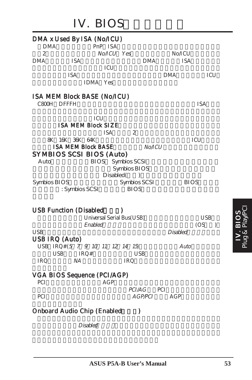|                  | DMA x Used By ISA (NoACU)                 |                           |                   |              |                          |                 |                                                                     |
|------------------|-------------------------------------------|---------------------------|-------------------|--------------|--------------------------|-----------------|---------------------------------------------------------------------|
| <b>DMA</b>       |                                           |                           | PnP ISA           |              |                          |                 |                                                                     |
| $\boldsymbol{2}$ |                                           |                           | NoACU Yes         |              |                          | NoACU           |                                                                     |
| <b>DMA</b>       | <b>ISA</b>                                |                           |                   |              | <b>DMA</b>               | <b>ISA</b>      |                                                                     |
|                  |                                           |                           | ICU               |              |                          |                 |                                                                     |
|                  | <b>ISA</b>                                |                           |                   |              |                          | <b>DMA</b>      | ICU                                                                 |
|                  |                                           | <b>IDMA</b> Yes           |                   |              |                          |                 |                                                                     |
|                  | ISA MEM Block BASE (NoACU)<br>C800H DFFFH |                           |                   |              |                          |                 | <b>ISA</b>                                                          |
|                  |                                           |                           |                   |              |                          |                 |                                                                     |
|                  |                                           | ICU                       |                   |              |                          |                 |                                                                     |
|                  | ISA MEM Block SIZE                        |                           |                   |              |                          |                 |                                                                     |
|                  |                                           |                           | <b>ISA</b>        | 2            |                          |                 |                                                                     |
|                  | 16K 36K 64K<br>8K –                       |                           |                   |              |                          |                 | ICU                                                                 |
|                  | <b>ISA MEM Block BASE</b>                 |                           |                   |              | <i>NoACU</i>             |                 |                                                                     |
|                  | <b>SYMBIOS SCSI BIOS (Auto)</b>           |                           |                   |              |                          |                 |                                                                     |
| Auto             |                                           |                           | BIOS Symbios SCSI | Symbios BIOS |                          |                 |                                                                     |
|                  |                                           |                           | Disabled(         |              | $\overline{\phantom{a}}$ |                 |                                                                     |
|                  | Symbios BIOS                              |                           |                   |              | Symbios SCSI             | <b>BIOS</b>     |                                                                     |
|                  | : Symbios SCSI                            |                           |                   | <b>BIOS</b>  |                          |                 |                                                                     |
|                  |                                           |                           |                   |              |                          |                 |                                                                     |
|                  | <b>USB Function (Disabled)</b>            |                           |                   | 1            |                          |                 |                                                                     |
|                  |                                           | Universal Serial Bus(USB) |                   |              |                          |                 | <b>USB</b>                                                          |
|                  |                                           | Enabled                   |                   |              |                          |                 | (OS <sup>2</sup> )<br>$\left( \begin{array}{c} \end{array} \right)$ |
| <b>USB</b>       |                                           |                           |                   |              |                          | <b>Disabled</b> |                                                                     |
|                  | USB IRQ (Auto)                            |                           |                   |              |                          |                 |                                                                     |
|                  | USB IRQ#(5 7 9 10 11 12 14 15)            |                           |                   |              |                          | Auto            |                                                                     |
|                  | <b>USB</b><br>IRQ#                        |                           |                   |              | <b>USB</b>               |                 |                                                                     |
| IRQ              | NΑ                                        |                           |                   | IRQ          |                          |                 |                                                                     |
|                  | VGA BIOS Sequence (PCI/AGP)               |                           |                   |              |                          |                 |                                                                     |
| <b>PCI</b>       |                                           |                           | AGP               |              |                          |                 |                                                                     |
|                  |                                           |                           |                   |              | PCIAG                    | <b>PCI</b>      |                                                                     |
| <b>PCI</b>       |                                           |                           |                   |              | AGPÆCI                   | AGP             |                                                                     |
|                  | <b>Onboard Audio Chip (Enabled</b>        |                           |                   |              | $\mathcal{E}$            |                 |                                                                     |
|                  |                                           |                           |                   |              |                          |                 |                                                                     |

Disabled

IV. BIOS Plug & Play/PCI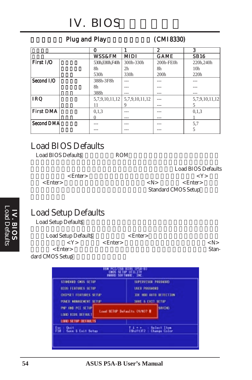#### Plug and Play (CMI8330)

|                  | Ω              |                                   | 2                | 3               |
|------------------|----------------|-----------------------------------|------------------|-----------------|
|                  | WSS&FM         | <b>MIDI</b>                       | <b>GAME</b>      | <b>SB16</b>     |
| First I/O        | 530h.E80h.F40h | 300h-330h                         | 200h-FE0h        | 220h, 240h      |
|                  | 8h             | 2 <sub>h</sub>                    | 8h               | 10 <sub>h</sub> |
|                  | 530h           | 330h                              | 200 <sub>h</sub> | 220h            |
| Second I/O       | 388h-3F8h      |                                   |                  |                 |
|                  | 8h             |                                   |                  |                 |
|                  | 388h           | ---                               | ---              | ---             |
| <b>IRQ</b>       |                | $5,7,9,10,11,12$ $5,7,9,10,11,12$ |                  | 5,7,9,10,11,12  |
|                  | 11             | y                                 | ---              | 5               |
| <b>First DMA</b> | 0,1,3          |                                   |                  | 0,1,3           |
|                  | 0              | ---                               | ---              |                 |
| Second DMA       |                |                                   |                  | 5,7             |
|                  |                |                                   |                  | 5               |

### Load BIOS Defaults

Load BIOS Defaults<br>
ROM

Load BIOS Defaults  $\langle Y \rangle$  $\langle$  Enter>  $\langle$  N>  $\rangle$  Enter> Standard CMOS Setup

### Load Setup Defaults

Load Setup Defaults

Load Setup Defaults < Enter>  $\langle Y \rangle$   $\langle$  Enters  $\langle N \rangle$  $\leq$  Enter> Standard CMOS Setup

|                                                                                                                                                             | DATE SETUP UTILITY<br><b>FORD SOFTWEE. INC.</b>                                                                                         |
|-------------------------------------------------------------------------------------------------------------------------------------------------------------|-----------------------------------------------------------------------------------------------------------------------------------------|
| STREEKED OKES SETUP<br><b>BIOS FERDINES SETIP</b><br><b>DUPSET TESTURES SETUP</b><br><b><i>POWER NEWSTHEMT SETUP</i></b><br><b><i>PIP THE RET SETUP</i></b> | <b>SUPERVISOR PRSSWORD</b><br><b>USER PRISBACKS</b><br><b>IDE NOT FAILD DETECTION</b><br><b>SENT &amp; EXT1 SETUP</b><br><b>SIVIDE:</b> |
| <b>LOOD EIES DEFINAL</b><br>LOND SETUP DEFINETS                                                                                                             | Load SERIP Defaults (N/N)? M                                                                                                            |
| the Duit<br>In : Save 8 Exit Setup                                                                                                                          | Shift)F2 : Select Item<br>Shift)F2 : Change Color                                                                                       |
|                                                                                                                                                             |                                                                                                                                         |

IV. BIOS Load Defaults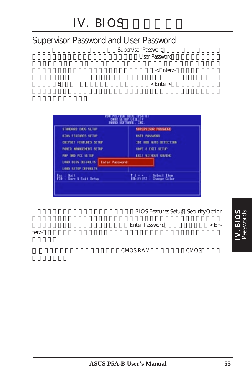### Supervisor Password and User Password

Supervisor Password **User Password** 

 $\epsilon$  Enter>

 $8$  contents to the state of  $\epsilon$  Enters



**BIOS Features Setup Security Option** 

効にするときは、新パスワードを入力するEnter Password画面で何も入力せず<En-

ter>

 $CMOS RAM$  CMOS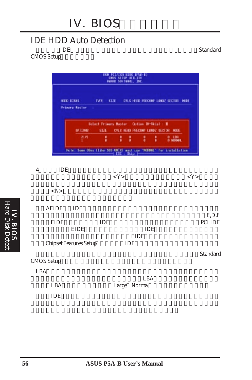### IDE HDD Auto Detection

CMOS Setup

IDE Standard

|                   |                                            |                                                                   | <b>PURKI SOFTWEE, THE</b>            | 58 B)               |   |                                       |     |                |
|-------------------|--------------------------------------------|-------------------------------------------------------------------|--------------------------------------|---------------------|---|---------------------------------------|-----|----------------|
|                   | <b>INFO DISES</b><br><b>Princey Restor</b> | <b>TWT</b><br><b>STAT</b>                                         |                                      |                     |   | CALS HERD PRECONT LINKLY SECTING MODE |     |                |
|                   | <b>IFFIONS</b>                             | Select Primary Moster<br><b>STZE</b>                              | CVLS HERD PRECIME LIMIDZ SECTOR MODE | Option IN-Skin3 : M |   |                                       |     |                |
|                   | 21VI                                       | ı                                                                 | B<br>å                               | å                   | ı | 0 1.08<br>6 MDRAFE                    |     |                |
|                   |                                            | Hote: Some OSex (like SCO-UNIK) must use "NUBMA" for installation |                                      |                     |   |                                       |     |                |
| 4                 | <b>IDE</b>                                 |                                                                   | < Y                                  |                     |   |                                       | < Y |                |
| $<$ N $>$         |                                            |                                                                   |                                      |                     |   |                                       |     |                |
| <b>AEIDE</b>      | <b>IDE</b>                                 |                                                                   |                                      |                     |   |                                       |     | E, D, F        |
| <b>EIDE</b>       | EIDE                                       | <b>IDE</b>                                                        |                                      | <b>IDE</b>          |   |                                       |     | <b>PCI IDE</b> |
|                   | <b>Chipset Features Setup</b>              |                                                                   | <b>IDE</b>                           | <b>EIDE</b>         |   |                                       |     |                |
| <b>CMOS Setup</b> |                                            |                                                                   |                                      |                     |   |                                       |     | Standard       |
|                   |                                            |                                                                   |                                      |                     |   |                                       |     |                |
| LBA               |                                            |                                                                   |                                      | <b>LBA</b>          |   |                                       |     |                |
| LBA               |                                            |                                                                   | Large Normal                         |                     |   |                                       |     |                |

 $\text{IDE}$ 

Hard Disk Detect IV. BIOS

k Detect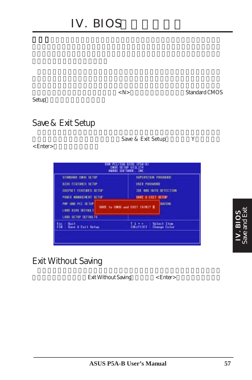さい。示された設定を採用しないなら<N>を入力し、正しい設定をStandard CMOS

Setup

### Save & Exit Setup

Save & Exit Setup Y

 $\langle$  Enter

|                                                                                                                    |  | DATE OF THE UTILITY<br>FORD SOFTWEE. 1NC.                                                                 |
|--------------------------------------------------------------------------------------------------------------------|--|-----------------------------------------------------------------------------------------------------------|
| STANDARD ONES SETIM<br><b>HIOS FEARINGS SETIP</b><br><b>DUFSET FEBTURES SETUP</b><br><b>RINER MENALTHENT SETUP</b> |  | SUPERVISOR PROVINCED<br><b>LISER POSSAGED</b><br>TEC HOLL FAITD DETECTION<br><b>SENE &amp; EXIT NETUP</b> |
| INF THE FEE SETUP<br>LORD DIDS DEFFELT<br>LOVO SETUP DEFINILIS                                                     |  | <b>STATIONS</b><br>SWL to OKS and DII1 (V/8)? R                                                           |
| Euc : Okrit<br>F10 : Sove & Exit Seban                                                                             |  | : Select Item<br>1.84<br>Shift)F2 : Change Color                                                          |

### Exit Without Saving

Exit Without Saving < Enter>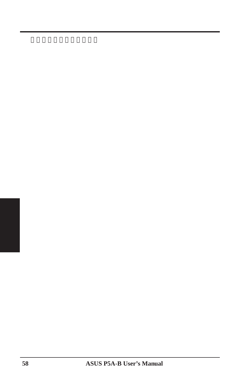**ASUS P5A-B User's Manual**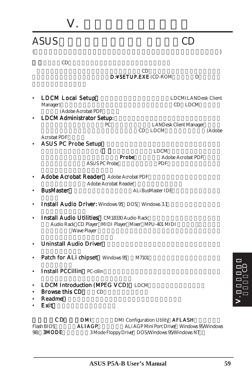| <b>ASUS</b>                                               |                                                                                                                                |                                                                                                                                  |               |
|-----------------------------------------------------------|--------------------------------------------------------------------------------------------------------------------------------|----------------------------------------------------------------------------------------------------------------------------------|---------------|
| (                                                         |                                                                                                                                |                                                                                                                                  | $\mathcal{E}$ |
| CD                                                        |                                                                                                                                |                                                                                                                                  |               |
|                                                           |                                                                                                                                | CD<br>D:\SETUP.EXE(CD-ROM<br>D                                                                                                   |               |
| <b>LDCM Local Setup</b><br>Manager)<br>(Adobe Acrobat PDF |                                                                                                                                | LDCM(LANDesk Client<br>CD LDCM                                                                                                   |               |
| <b>LDCM Administrator Setup:</b>                          | PC                                                                                                                             | LANDesk Client Manager<br>CD.<br><b>LDCM</b>                                                                                     | (Adobe        |
| Acrobat PDF<br><b>ASUS PC Probe Setup</b>                 |                                                                                                                                |                                                                                                                                  |               |
|                                                           | (<br>Probe<br><b>ASUS PC Probe</b>                                                                                             | <b>LDCM</b><br>Adobe Acrobat PDF<br><b>PDF</b>                                                                                   |               |
|                                                           | Adobe Acrobat Reader Adobe Acrobat PDF<br>Adobe Acrobat Reader                                                                 |                                                                                                                                  |               |
| <b>BusMaster</b>                                          |                                                                                                                                | ALi BusMaster IDE                                                                                                                |               |
|                                                           | <b>Install Audio Driver:</b> Windows 95 DOS Windows 3.1                                                                        |                                                                                                                                  |               |
|                                                           | <b>Install Audio Utilities</b> CM18330 Audio Rack<br>Audio Rack CD Player MIDI Player Mixer MPU-401 MIDI<br><b>Wave Player</b> |                                                                                                                                  |               |
| <b>Uninstall Audio Driver</b>                             |                                                                                                                                |                                                                                                                                  |               |
|                                                           | Patch for ALi chipset Windows 95                                                                                               | M7101                                                                                                                            |               |
| <b>Install PCCillin</b> PC-cillin                         |                                                                                                                                |                                                                                                                                  |               |
| Browse this CD<br>$\bullet$<br>Readme<br>Exit             | LDCM Introduction (MPEG VCD)<br>CD                                                                                             | <b>LDCM</b>                                                                                                                      |               |
| CD.<br>Flash BIOS<br>3MODE<br>98)                         | DMI<br><b>ALIAGP</b>                                                                                                           | DMI Configuration Utility AFLASH<br>ALi AGP Mini Port Driver Windows 95 Windows<br>3Mode Floppy Driver DOS Windows 95 Windows NT |               |

 $\mathbf{v}$ .

CD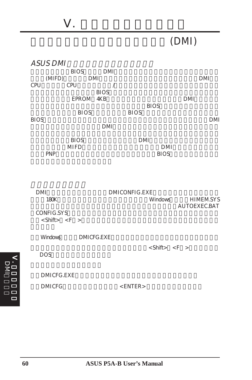|                                                                              |                                                                                               |                                                 | (DMI)                            |
|------------------------------------------------------------------------------|-----------------------------------------------------------------------------------------------|-------------------------------------------------|----------------------------------|
| <b>ASUS DMI</b><br>(MIFD)<br><b>CPU</b><br><b>BIOS</b>                       | BIOS DMI<br>DMI<br><b>CPU</b><br>$\sqrt{2}$<br><b>BIOS</b><br>EPROM 4KB<br><b>BIOS</b><br>DMI | <b>BIOS</b><br><b>BIOS</b>                      | <b>DM</b><br>DMI<br><b>DM</b>    |
| <b>PNP</b>                                                                   | <b>BIOS</b><br><b>MIFD</b>                                                                    | DM<br>DMI<br><b>BIOS</b>                        |                                  |
| DMI<br>180K<br>CONFIG.SYS<br>$\langle$ Shift $\rangle$ $\langle$ F $\rangle$ |                                                                                               | <b>DMICONFIG.EXE</b><br>Windows                 | <b>HIMEM.SYS</b><br>AUTOEXEC.BAT |
| Windows<br><b>DOS</b>                                                        | <b>DMICFG.EXE</b>                                                                             | $\langle$ Shift $\rangle$ $\langle$ F $\rangle$ |                                  |
| <b>DMICFG.EXE</b>                                                            |                                                                                               |                                                 |                                  |
| <b>DMICFG</b>                                                                |                                                                                               | $<$ ENTER $>$                                   |                                  |

 $\leq$ DMI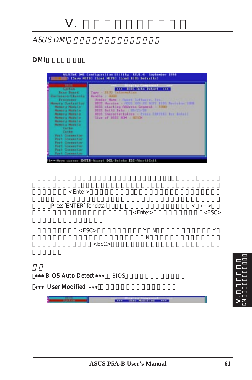### ASUS DMI

#### $DMI$



< Enter>

| Press [ENTER] for detail                                         | $\langle$ Enter | $\langle$ / ><br>$<$ ESC $>$ |
|------------------------------------------------------------------|-----------------|------------------------------|
| $<$ ESC $>$<br>$<$ ESC $>$                                       | Y N<br>N        | Y                            |
| *** BIOS Auto Detect ***<br>*** User Modified ***<br><b>LUID</b> | <b>BIOS</b>     |                              |

V.

 $\blacksquare$ 

₹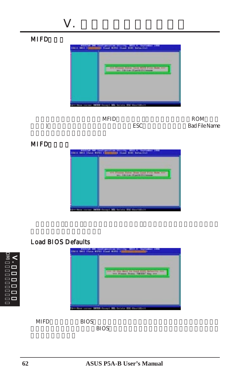

MIFD BIOS

 $BIOS$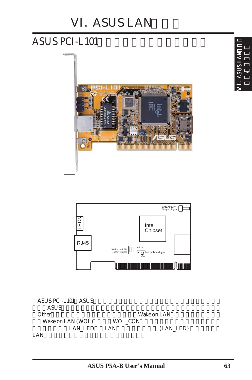### ASUS PCI-L101